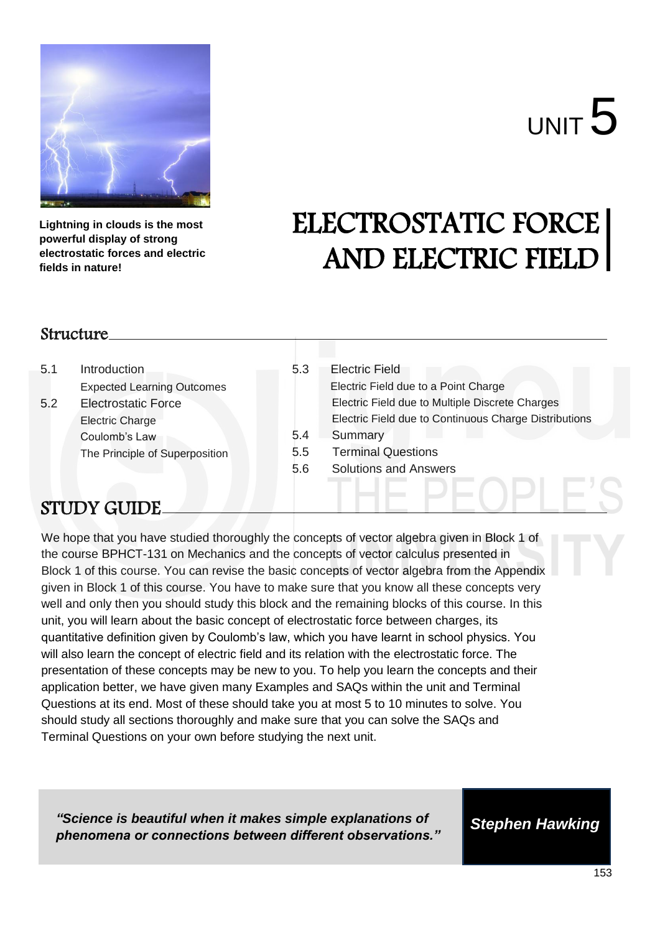

# UNIT 5

**Lightning in clouds is the most powerful display of strong electrostatic forces and electric fields in nature!** 

## ELECTROSTATIC FORCE AND ELECTRIC FIELD

### Structure

5.1 Introduction Expected Learning Outcomes 5.2 Electrostatic Force Electric Charge Coulomb's Law The Principle of Superposition

### 5.3 Electric Field Electric Field due to a Point Charge Electric Field due to Multiple Discrete Charges Electric Field due to Continuous Charge Distributions 5.4 Summary 5.5 Terminal Questions 5.6 Solutions and Answers

### STUDY GUIDE

We hope that you have studied thoroughly the concepts of vector algebra given in Block 1 of the course BPHCT-131 on Mechanics and the concepts of vector calculus presented in Block 1 of this course. You can revise the basic concepts of vector algebra from the Appendix given in Block 1 of this course. You have to make sure that you know all these concepts very well and only then you should study this block and the remaining blocks of this course. In this unit, you will learn about the basic concept of electrostatic force between charges, its quantitative definition given by Coulomb's law, which you have learnt in school physics. You will also learn the concept of electric field and its relation with the electrostatic force. The presentation of these concepts may be new to you. To help you learn the concepts and their application better, we have given many Examples and SAQs within the unit and Terminal Questions at its end. Most of these should take you at most 5 to 10 minutes to solve. You should study all sections thoroughly and make sure that you can solve the SAQs and Terminal Questions on your own before studying the next unit.

*"Science is beautiful when it makes simple explanations of phenomena or connections between different observations."*

*Stephen Hawking*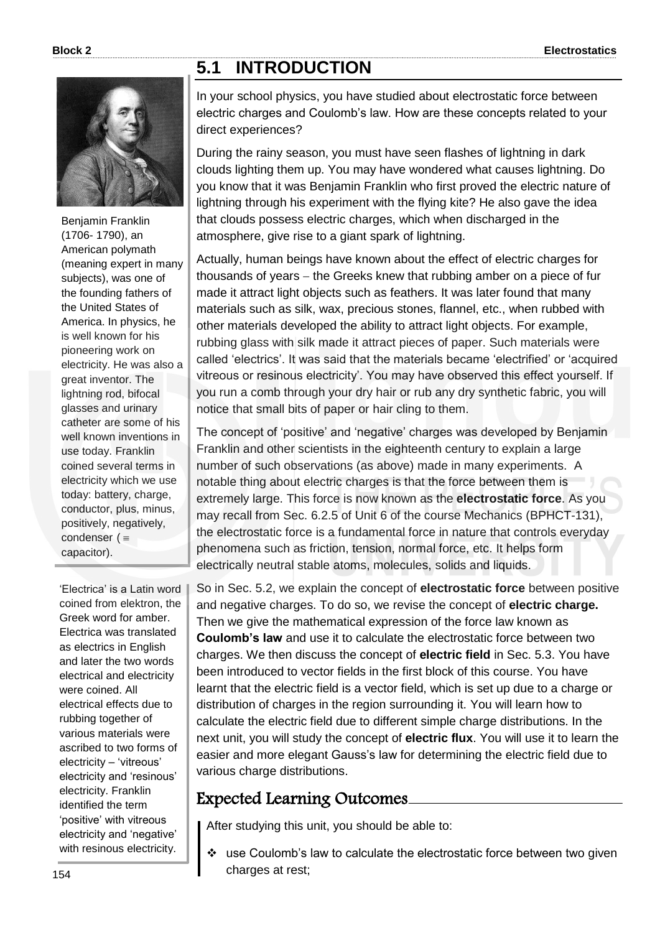### **5.1 INTRODUCTION**



Benjamin Franklin (1706- 1790), an American polymath (meaning expert in many subjects), was one of the founding fathers of the United States of America. In physics, he is well known for his pioneering work on electricity. He was also a great inventor. The lightning rod, bifocal glasses and urinary catheter are some of his well known inventions in use today. Franklin coined several terms in electricity which we use today: battery, charge, conductor, plus, minus, positively, negatively, condenser  $($ capacitor).

'Electrica' is a Latin word coined from elektron, the Greek word for amber. Electrica was translated as electrics in English and later the two words electrical and electricity were coined. All electrical effects due to rubbing together of various materials were ascribed to two forms of electricity – 'vitreous' electricity and 'resinous' electricity. Franklin identified the term 'positive' with vitreous electricity and 'negative' with resinous electricity.

In your school physics, you have studied about electrostatic force between electric charges and Coulomb's law. How are these concepts related to your direct experiences?

During the rainy season, you must have seen flashes of lightning in dark clouds lighting them up. You may have wondered what causes lightning. Do you know that it was Benjamin Franklin who first proved the electric nature of lightning through his experiment with the flying kite? He also gave the idea that clouds possess electric charges, which when discharged in the atmosphere, give rise to a giant spark of lightning.

Actually, human beings have known about the effect of electric charges for thousands of years – the Greeks knew that rubbing amber on a piece of fur made it attract light objects such as feathers. It was later found that many materials such as silk, wax, precious stones, flannel, etc., when rubbed with other materials developed the ability to attract light objects. For example, rubbing glass with silk made it attract pieces of paper. Such materials were called 'electrics'. It was said that the materials became 'electrified' or 'acquired vitreous or resinous electricity'. You may have observed this effect yourself. If you run a comb through your dry hair or rub any dry synthetic fabric, you will notice that small bits of paper or hair cling to them.

The concept of 'positive' and 'negative' charges was developed by Benjamin Franklin and other scientists in the eighteenth century to explain a large number of such observations (as above) made in many experiments. A notable thing about electric charges is that the force between them is extremely large. This force is now known as the **electrostatic force**. As you may recall from Sec. 6.2.5 of Unit 6 of the course Mechanics (BPHCT-131), the electrostatic force is a fundamental force in nature that controls everyday phenomena such as friction, tension, normal force, etc. It helps form electrically neutral stable atoms, molecules, solids and liquids.

So in Sec. 5.2, we explain the concept of **electrostatic force** between positive and negative charges. To do so, we revise the concept of **electric charge.**  Then we give the mathematical expression of the force law known as **Coulomb's law** and use it to calculate the electrostatic force between two charges. We then discuss the concept of **electric field** in Sec. 5.3. You have been introduced to vector fields in the first block of this course. You have learnt that the electric field is a vector field, which is set up due to a charge or distribution of charges in the region surrounding it. You will learn how to calculate the electric field due to different simple charge distributions. In the next unit, you will study the concept of **electric flux**. You will use it to learn the easier and more elegant Gauss's law for determining the electric field due to various charge distributions.

### Expected Learning Outcomes

After studying this unit, you should be able to:

 use Coulomb's law to calculate the electrostatic force between two given charges at rest;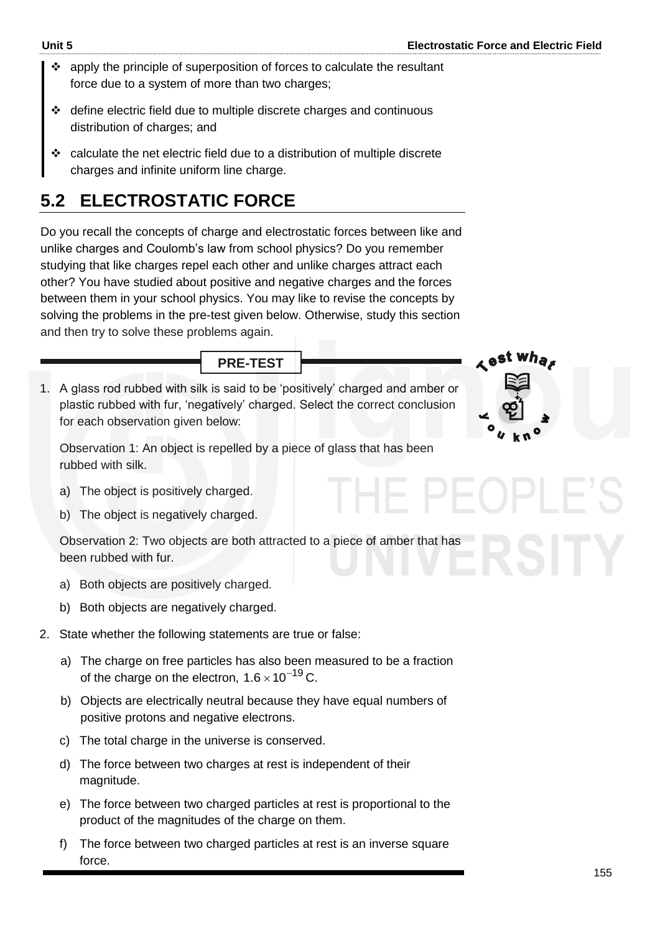- $\cdot$  apply the principle of superposition of forces to calculate the resultant force due to a system of more than two charges;
- define electric field due to multiple discrete charges and continuous distribution of charges; and
- $\div$  calculate the net electric field due to a distribution of multiple discrete charges and infinite uniform line charge.

### **5.2 ELECTROSTATIC FORCE**

Do you recall the concepts of charge and electrostatic forces between like and unlike charges and Coulomb's law from school physics? Do you remember studying that like charges repel each other and unlike charges attract each other? You have studied about positive and negative charges and the forces between them in your school physics. You may like to revise the concepts by solving the problems in the pre-test given below. Otherwise, study this section and then try to solve these problems again.

**PRE-TEST**

1. A glass rod rubbed with silk is said to be 'positively' charged and amber or plastic rubbed with fur, 'negatively' charged. Select the correct conclusion for each observation given below:

Observation 1: An object is repelled by a piece of glass that has been rubbed with silk.

- a) The object is positively charged.
- b) The object is negatively charged.

Observation 2: Two objects are both attracted to a piece of amber that has been rubbed with fur.

- a) Both objects are positively charged.
- b) Both objects are negatively charged.
- 2. State whether the following statements are true or false:
	- a) The charge on free particles has also been measured to be a fraction of the charge on the electron,  $1.6 \times 10^{-19}$  C.
	- b) Objects are electrically neutral because they have equal numbers of positive protons and negative electrons.
	- c) The total charge in the universe is conserved.
	- d) The force between two charges at rest is independent of their magnitude.
	- e) The force between two charged particles at rest is proportional to the product of the magnitudes of the charge on them.
	- f) The force between two charged particles at rest is an inverse square force.

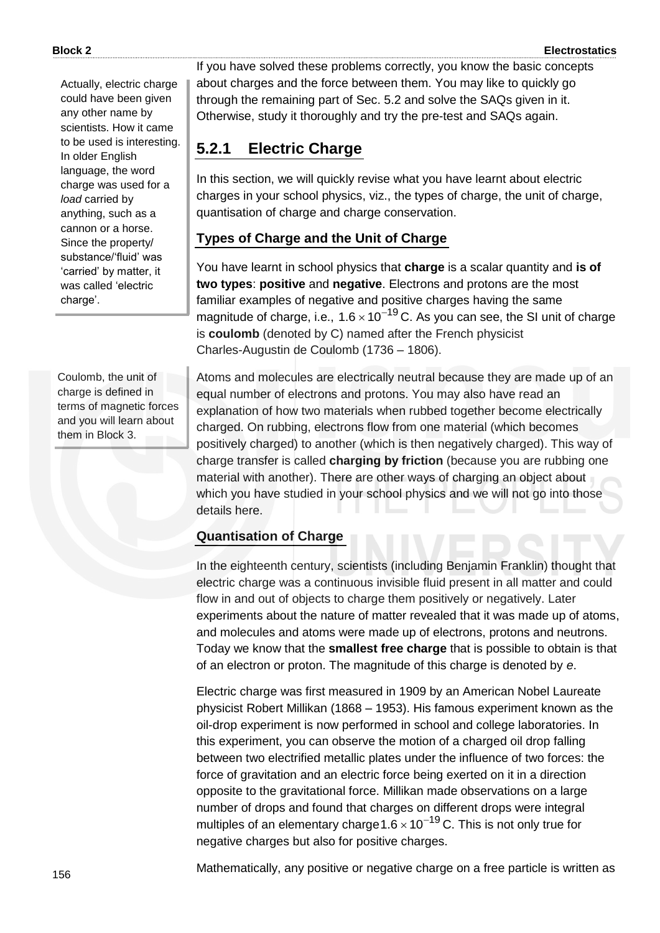Actually, electric charge could have been given any other name by scientists. How it came to be used is interesting. In older English language, the word charge was used for a *load* carried by anything, such as a cannon or a horse. Since the property/ substance/'fluid' was 'carried' by matter, it was called 'electric charge'.

Coulomb, the unit of charge is defined in terms of magnetic forces and you will learn about them in Block 3.

If you have solved these problems correctly, you know the basic concepts about charges and the force between them. You may like to quickly go through the remaining part of Sec. 5.2 and solve the SAQs given in it. Otherwise, study it thoroughly and try the pre-test and SAQs again.

### **5.2.1 Electric Charge**

In this section, we will quickly revise what you have learnt about electric charges in your school physics, viz., the types of charge, the unit of charge, quantisation of charge and charge conservation.

### **Types of Charge and the Unit of Charge**

You have learnt in school physics that **charge** is a scalar quantity and **is of two types**: **positive** and **negative**. Electrons and protons are the most familiar examples of negative and positive charges having the same magnitude of charge, i.e., 1.6  $\times$  10<sup>-19</sup> C. As you can see, the SI unit of charge is **coulomb** (denoted by C) named after the French physicist Charles-Augustin de Coulomb (1736 – 1806).

Atoms and molecules are electrically neutral because they are made up of an equal number of electrons and protons. You may also have read an explanation of how two materials when rubbed together become electrically charged. On rubbing, electrons flow from one material (which becomes positively charged) to another (which is then negatively charged). This way of charge transfer is called **charging by friction** (because you are rubbing one material with another). There are other ways of charging an object about which you have studied in your school physics and we will not go into those details here.

### **Quantisation of Charge**

In the eighteenth century, scientists (including Benjamin Franklin) thought that electric charge was a continuous invisible fluid present in all matter and could flow in and out of objects to charge them positively or negatively. Later experiments about the nature of matter revealed that it was made up of atoms, and molecules and atoms were made up of electrons, protons and neutrons. Today we know that the **smallest free charge** that is possible to obtain is that of an electron or proton. The magnitude of this charge is denoted by *e*.

Electric charge was first measured in 1909 by an American Nobel Laureate physicist Robert Millikan (1868 – 1953). His famous experiment known as the oil-drop experiment is now performed in school and college laboratories. In this experiment, you can observe the motion of a charged oil drop falling between two electrified metallic plates under the influence of two forces: the force of gravitation and an electric force being exerted on it in a direction opposite to the gravitational force. Millikan made observations on a large number of drops and found that charges on different drops were integral multiples of an elementary charge  $1.6 \times 10^{-19}$  C. This is not only true for negative charges but also for positive charges.

Mathematically, any positive or negative charge on a free particle is written as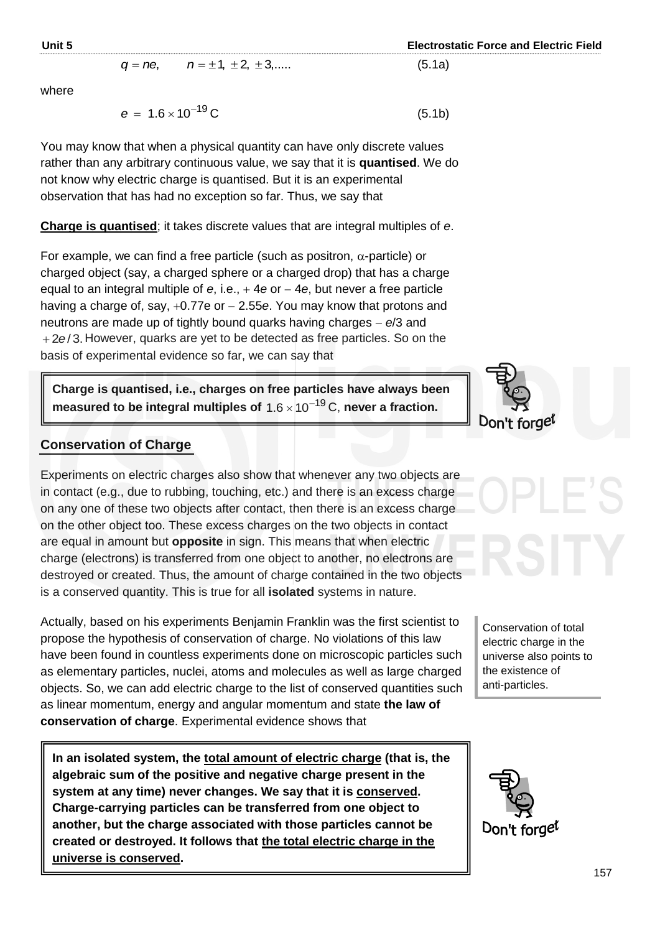$(5.1b)$ 

#### $q = ne$ ,  $n = \pm 1, \pm 2, \pm 3, \dots$  (5.1a)

 where

I

$$
e = 1.6 \times 10^{-19} \text{C}
$$

You may know that when a physical quantity can have only discrete values rather than any arbitrary continuous value, we say that it is **quantised**. We do not know why electric charge is quantised. But it is an experimental observation that has had no exception so far. Thus, we say that

#### **Charge is quantised**; it takes discrete values that are integral multiples of *e*.

For example, we can find a free particle (such as positron,  $\alpha$ -particle) or charged object (say, a charged sphere or a charged drop) that has a charge equal to an integral multiple of *e*, i.e., 4*e* or 4*e*, but never a free particle having a charge of, say,  $+0.77e$  or  $- 2.55e$ . You may know that protons and neutrons are made up of tightly bound quarks having charges *e*/3 and +2e/3. However, quarks are yet to be detected as free particles. So on the basis of experimental evidence so far, we can say that

**Charge is quantised, i.e., charges on free particles have always been**  measured to be integral multiples of  $1.6 \times 10^{-19}$  C, never a fraction.

#### **Conservation of Charge**

Experiments on electric charges also show that whenever any two objects are in contact (e.g., due to rubbing, touching, etc.) and there is an excess charge on any one of these two objects after contact, then there is an excess charge on the other object too. These excess charges on the two objects in contact are equal in amount but **opposite** in sign. This means that when electric charge (electrons) is transferred from one object to another, no electrons are destroyed or created. Thus, the amount of charge contained in the two objects is a conserved quantity. This is true for all **isolated** systems in nature.

Actually, based on his experiments Benjamin Franklin was the first scientist to propose the hypothesis of conservation of charge. No violations of this law have been found in countless experiments done on microscopic particles such as elementary particles, nuclei, atoms and molecules as well as large charged objects. So, we can add electric charge to the list of conserved quantities such as linear momentum, energy and angular momentum and state **the law of conservation of charge**. Experimental evidence shows that

**In an isolated system, the total amount of electric charge (that is, the algebraic sum of the positive and negative charge present in the system at any time) never changes. We say that it is conserved. Charge-carrying particles can be transferred from one object to another, but the charge associated with those particles cannot be created or destroyed. It follows that the total electric charge in the universe is conserved.**



Conservation of total electric charge in the universe also points to the existence of anti-particles.

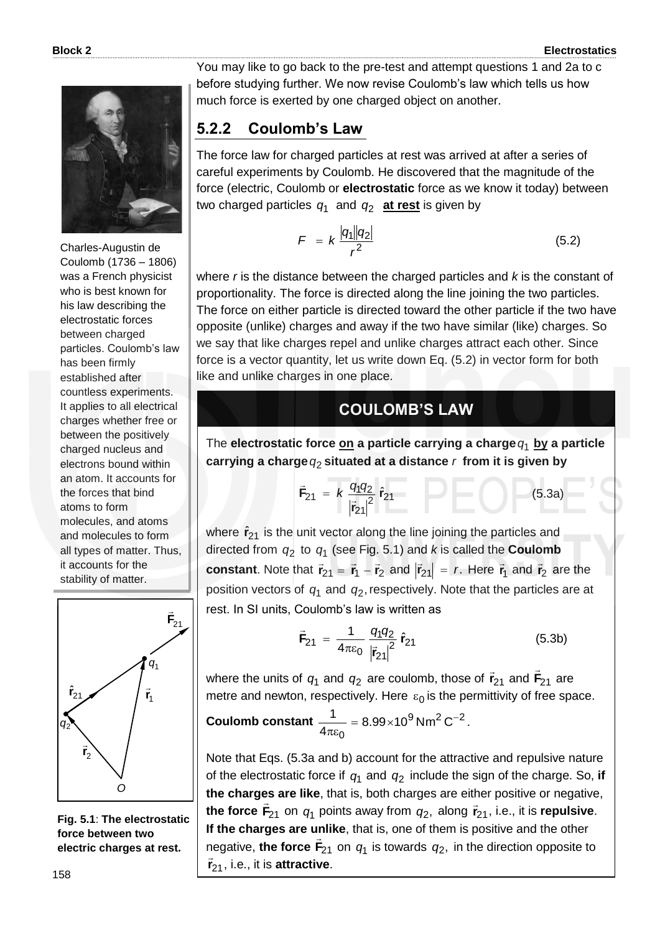

Charles-Augustin de Coulomb (1736 – 1806) was a French physicist who is best known for his law describing the electrostatic forces between charged particles. Coulomb's law has been firmly established after countless experiments. It applies to all electrical charges whether free or between the positively charged nucleus and electrons bound within an atom. It accounts for the forces that bind atoms to form molecules, and atoms and molecules to form all types of matter. Thus, it accounts for the stability of matter.



**Fig. 5.1**: **The electrostatic force between two electric charges at rest.**

You may like to go back to the pre-test and attempt questions 1 and 2a to c before studying further. We now revise Coulomb's law which tells us how much force is exerted by one charged object on another.

### **5.2.2 Coulomb's Law**

The force law for charged particles at rest was arrived at after a series of careful experiments by Coulomb. He discovered that the magnitude of the force (electric, Coulomb or **electrostatic** force as we know it today) between two charged particles *q*1 and *q*2 **at rest** is given by

$$
F = k \frac{|q_1||q_2|}{r^2} \tag{5.2}
$$

where *r* is the distance between the charged particles and *k* is the constant of proportionality. The force is directed along the line joining the two particles. The force on either particle is directed toward the other particle if the two have opposite (unlike) charges and away if the two have similar (like) charges. So we say that like charges repel and unlike charges attract each other. Since force is a vector quantity, let us write down Eq. (5.2) in vector form for both like and unlike charges in one place.

### **COULOMB'S LAW**

The **electrostatic force on a particle carrying a charge** *q*1 **by a particle carrying a charge** *q*2 **situated at a distance** *r* **from it is given by**

$$
\vec{F}_{21} = k \frac{q_1 q_2}{|\vec{r}_{21}|^2} \hat{r}_{21}
$$
 (5.3a)

where  $\hat{r}_{21}$  is the unit vector along the line joining the particles and directed from  $q_2$  to  $q_1$  (see Fig. 5.1) and *k* is called the **Coulomb constant**. Note that  $\vec{r}_{21} = \vec{r}_1 - \vec{r}_2$  and  $|\vec{r}_{21}| = r$ . Here  $\vec{r}_1$  $\vec{r}_1$  and  $\vec{r}_2$  are the position vectors of  $q_1$  and  $q_2$ , respectively. Note that the particles are at rest. In SI units, Coulomb's law is written as

$$
\vec{F}_{21} = \frac{1}{4\pi\epsilon_0} \frac{q_1 q_2}{|\vec{r}_{21}|^2} \hat{r}_{21}
$$
 (5.3b)

where the units of  $q_1$  and  $q_2$  are coulomb, those of  $\vec{\mathsf{r}}_{21}$  and  $\vec{\mathsf{F}}_{21}$  $\overline{a}$ are metre and newton, respectively. Here  $\varepsilon_0$  is the permittivity of free space.

$$
Coulomb constant \frac{1}{4\pi\epsilon_0} = 8.99 \times 10^9 \,\mathrm{Nm}^2 \,\mathrm{C}^{-2}.
$$

Note that Eqs. (5.3a and b) account for the attractive and repulsive nature of the electrostatic force if  $q_1$  and  $q_2$  include the sign of the charge. So, if **the charges are like**, that is, both charges are either positive or negative, the force  $\vec{F}_{21}$  on  $q_1$  points away from  $q_2$ , along  $\vec{r}_{21}$ , i.e., it is **repulsive**. **If the charges are unlike**, that is, one of them is positive and the other negative, the force  $F_{21}$  on  $q_1$  is towards  $q_2$ , in the direction opposite to <sup>21</sup> **r** , i.e., it is **attractive**.  $\frac{1}{2}$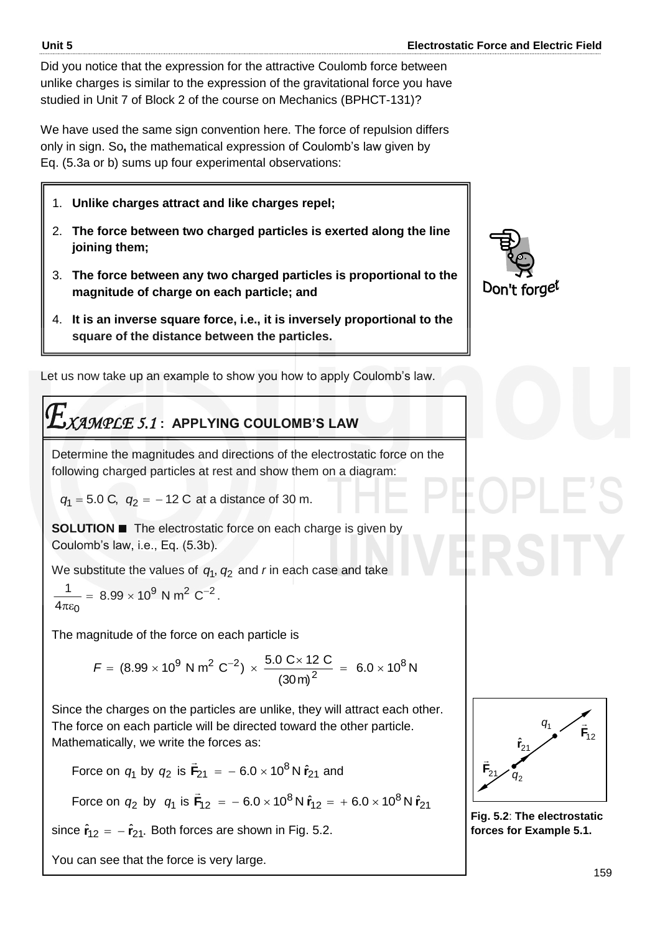Did you notice that the expression for the attractive Coulomb force between unlike charges is similar to the expression of the gravitational force you have studied in Unit 7 of Block 2 of the course on Mechanics (BPHCT-131)?

We have used the same sign convention here. The force of repulsion differs only in sign. So**,** the mathematical expression of Coulomb's law given by Eq. (5.3a or b) sums up four experimental observations:

- 1. **Unlike charges attract and like charges repel;**
- 2. **The force between two charged particles is exerted along the line joining them;**
- 3. **The force between any two charged particles is proportional to the magnitude of charge on each particle; and**
- 4. **It is an inverse square force, i.e., it is inversely proportional to the square of the distance between the particles.**

Let us now take up an example to show you how to apply Coulomb's law.

$$
E_{XAMPLE \,5.1 \colon \text{APPLYING COULOMB'S LAW}}
$$

Determine the magnitudes and directions of the electrostatic force on the following charged particles at rest and show them on a diagram:

 $q_1 = 5.0 \text{ C}, q_2 = -12 \text{ C}$  at a distance of 30 m.

**SOLUTION The electrostatic force on each charge is given by** Coulomb's law, i.e., Eq. (5.3b).

We substitute the values of  $q_1$ ,  $q_2$  and *r* in each case and take

$$
\frac{1}{4\pi\varepsilon_0} = 8.99 \times 10^9 \text{ N m}^2 \text{ C}^{-2}.
$$

The magnitude of the force on each particle is

 $6.0 \times 10^8$  N (30m)  $(8.99 \times 10^9 \text{ N m}^2 \text{ C}^{-2}) \times \frac{5.0 \text{ C} \times 12 \text{ C}}{2} = 6.0 \times 10^8$ 2  $F = (8.99 \times 10^9 \text{ N m}^2 \text{ C}^{-2}) \times \frac{5.0 \text{ C} \times 12 \text{ C}}{2} = 6.0 \times$ 

Since the charges on the particles are unlike, they will attract each other. The force on each particle will be directed toward the other particle. Mathematically, we write the forces as:

Force on  $q_1$  by  $q_2$  is  $\vec{F}_{21} = -6.0 \times 10^8$  N  $\hat{r}_{21}$  $\rightarrow$ and

Force on  $q_2$  by  $q_1$  is  $\vec{\mathsf{F}}_{12}$  =  $-$  6.0  $\times$  10<sup>8</sup> N  $\hat{\mathsf{r}}_{12}$  =  $+$  6.0  $\times$  10<sup>8</sup> N  $\hat{\mathsf{r}}_{21}$  $\overline{a}$ 

since  $\hat{\mathbf{r}}_{12}$  =  $-\hat{\mathbf{r}}_{21}$ . Both forces are shown in Fig. 5.2.

You can see that the force is very large.





**Fig. 5.2**: **The electrostatic forces for Example 5.1.**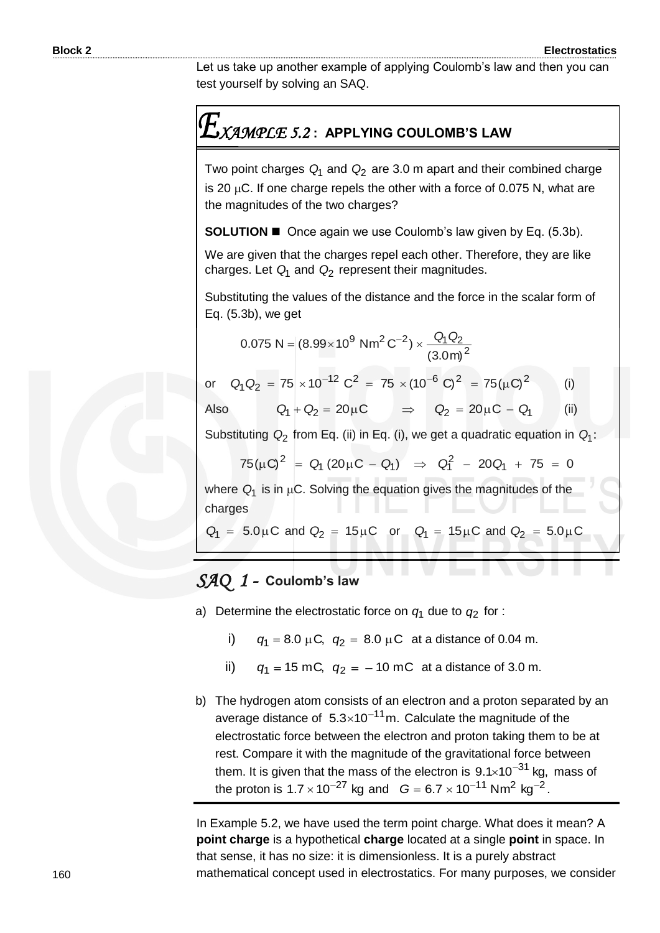Let us take up another example of applying Coulomb's law and then you can test yourself by solving an SAQ.

### *XAMPLE 5.2* **: APPLYING COULOMB'S LAW**

Two point charges *Q*1 and *Q*<sup>2</sup> are 3.0 m apart and their combined charge is 20  $\mu$ C. If one charge repels the other with a force of 0.075 N, what are the magnitudes of the two charges?

**SOLUTION Once again we use Coulomb's law given by Eq. (5.3b).** 

We are given that the charges repel each other. Therefore, they are like charges. Let *Q*1 and *Q*<sup>2</sup> represent their magnitudes.

Substituting the values of the distance and the force in the scalar form of Eq. (5.3b), we get

$$
0.075 \text{ N} = (8.99 \times 10^9 \text{ N} \text{m}^2 \text{ C}^{-2}) \times \frac{Q_1 Q_2}{(3.0 \text{ m})^2}
$$

or  $Q_1 Q_2 = 75 \times 10^{-12} C^2 = 75 \times (10^{-6} C)^2 = 75(\mu C)^2$ (i)

Also 
$$
Q_1 + Q_2 = 20 \mu C
$$
  $\Rightarrow$   $Q_2 = 20 \mu C - Q_1$  (ii)

Substituting  $Q_2$  from Eq. (ii) in Eq. (i), we get a quadratic equation in  $Q_1$ :

$$
75(\mu\text{C})^2 = Q_1 (20\mu\text{C} - Q_1) \Rightarrow Q_1^2 - 20Q_1 + 75 = 0
$$

where  $Q_1$  is in  $\mu$ C. Solving the equation gives the magnitudes of the charges

$$
Q_1 = 5.0 \mu C
$$
 and  $Q_2 = 15 \mu C$  or  $Q_1 = 15 \mu C$  and  $Q_2 = 5.0 \mu C$ 

### *SAQ 1 -* **Coulomb's law**

a) Determine the electrostatic force on *q*1 due to *q*2 for :

i)  $q_1 = 8.0 \mu C$ ,  $q_2 = 8.0 \mu C$  at a distance of 0.04 m.

- ii)  $q_1 = 15$  mC,  $q_2 = -10$  mC at a distance of 3.0 m.
- b) The hydrogen atom consists of an electron and a proton separated by an average distance of  $5.3 \times 10^{-11}$  m. Calculate the magnitude of the electrostatic force between the electron and proton taking them to be at rest. Compare it with the magnitude of the gravitational force between them. It is given that the mass of the electron is  $9.1 \times 10^{-31}$  kg, mass of the proton is  $1.7 \times 10^{-27}$  kg and  $G = 6.7 \times 10^{-11}$  Nm<sup>2</sup> kg<sup>-2</sup>.

In Example 5.2, we have used the term point charge. What does it mean? A **point charge** is a hypothetical **charge** located at a single **point** in space. In that sense, it has no size: it is dimensionless. It is a purely abstract mathematical concept used in electrostatics. For many purposes, we consider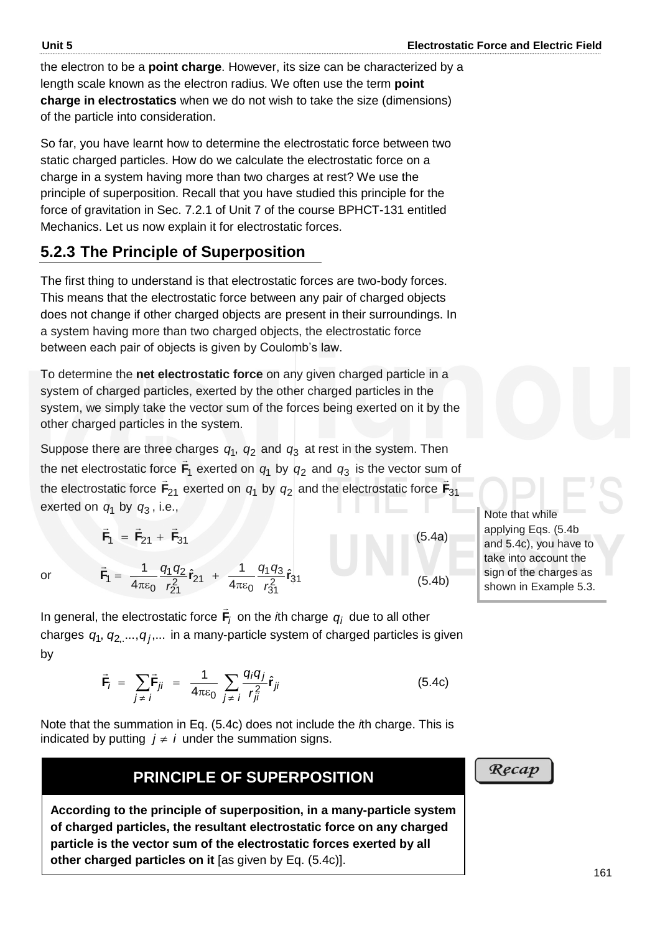the electron to be a **point charge**. However, its size can be characterized by a length scale known as the electron radius. We often use the term **point charge in electrostatics** when we do not wish to take the size (dimensions) of the particle into consideration.

So far, you have learnt how to determine the electrostatic force between two static charged particles. How do we calculate the electrostatic force on a charge in a system having more than two charges at rest? We use the principle of superposition. Recall that you have studied this principle for the force of gravitation in Sec. 7.2.1 of Unit 7 of the course BPHCT-131 entitled Mechanics. Let us now explain it for electrostatic forces.

### **5.2.3 The Principle of Superposition**

The first thing to understand is that electrostatic forces are two-body forces. This means that the electrostatic force between any pair of charged objects does not change if other charged objects are present in their surroundings. In a system having more than two charged objects, the electrostatic force between each pair of objects is given by Coulomb's law.

To determine the **net electrostatic force** on any given charged particle in a system of charged particles, exerted by the other charged particles in the system, we simply take the vector sum of the forces being exerted on it by the other charged particles in the system.

Suppose there are three charges  $q_1$ ,  $q_2$  and  $q_3$  at rest in the system. Then the net electrostatic force **F**1  $\rightarrow$ exerted on  $q_1$  by  $q_2$  and  $q_3$  is the vector sum of the electrostatic force  $F_{21}$  exerted on  $q_1$  by  $q_2$  and the electrostatic force  $F_{31}$  $\frac{1}{2}$ exerted on *q*1 by *q*3 , i.e.,

$$
\vec{F}_1 = \vec{F}_{21} + \vec{F}_{31}
$$
\n
$$
\vec{F}_1 = \frac{1}{4\pi\epsilon_0} \frac{q_1 q_2}{r_{21}^2} \hat{r}_{21} + \frac{1}{4\pi\epsilon_0} \frac{q_1 q_3}{r_{31}^2} \hat{r}_{31}
$$
\n(5.4a)\n
$$
(5.4a)
$$
\n(5.4b)

In general, the electrostatic force **F***i*  $\rightarrow$ on the *i*th charge  $q_i$  due to all other charges  $q_1, q_{2,}..., q_j,...$  in a many-particle system of charged particles is given by

$$
\vec{\mathbf{F}}_j = \sum_{j \neq i} \vec{\mathbf{F}}_{ji} = \frac{1}{4\pi\epsilon_0} \sum_{j \neq i} \frac{q_i q_j}{r_{ji}^2} \hat{\mathbf{r}}_{ji}
$$
(5.4c)

Note that the summation in Eq. (5.4c) does not include the *i*th charge. This is indicated by putting  $j \neq i$  under the summation signs.

### **PRINCIPLE OF SUPERPOSITION**

**According to the principle of superposition, in a many-particle system of charged particles, the resultant electrostatic force on any charged particle is the vector sum of the electrostatic forces exerted by all other charged particles on it** [as given by Eq. (5.4c)].

and 5.4c), you have to take into account the sign of the charges as shown in Example 5.3.

Note that while applying Eqs. (5.4b

Recap

or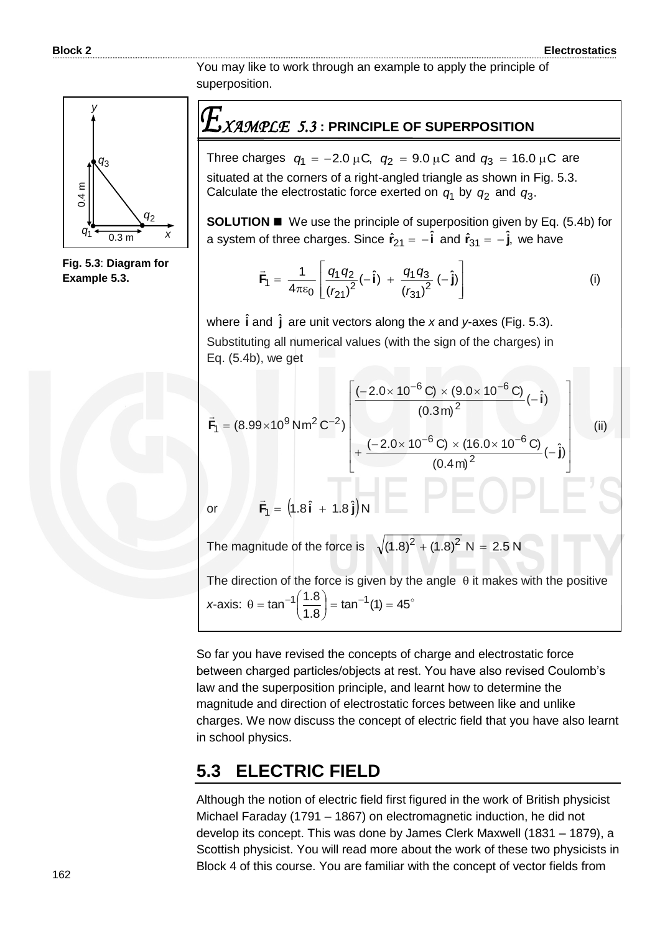You may like to work through an example to apply the principle of superposition.



**Fig. 5.3**: **Diagram for Example 5.3.**

### *XAMPLE 5.3* **: PRINCIPLE OF SUPERPOSITION**

Three charges  $q_1 = -2.0 \mu C$ ,  $q_2 = 9.0 \mu C$  and  $q_3 = 16.0 \mu C$  are situated at the corners of a right-angled triangle as shown in Fig. 5.3. Calculate the electrostatic force exerted on  $q_1$  by  $q_2$  and  $q_3$ .

**SOLUTION ■** We use the principle of superposition given by Eq. (5.4b) for a system of three charges. Since  $\hat{\mathbf{r}}_{21} = -\hat{\mathbf{i}}$  and  $\hat{\mathbf{r}}_{31} = -\hat{\mathbf{j}}$ , we have

$$
\vec{F}_1 = \frac{1}{4\pi\epsilon_0} \left[ \frac{q_1 q_2}{(r_{21})^2} (-\hat{\mathbf{i}}) + \frac{q_1 q_3}{(r_{31})^2} (-\hat{\mathbf{j}}) \right]
$$
 (i)

where  $\hat{\textbf{i}}$  and  $\hat{\textbf{j}}$  are unit vectors along the x and y-axes (Fig. 5.3). Substituting all numerical values (with the sign of the charges) in Eq. (5.4b), we get

$$
\vec{F}_1 = (8.99 \times 10^9 \text{ Nm}^2 \text{ C}^{-2}) \begin{bmatrix} \frac{(-2.0 \times 10^{-6} \text{ C}) \times (9.0 \times 10^{-6} \text{ C})}{(0.3 \text{ m})^2} (-\hat{i}) \\ + \frac{(-2.0 \times 10^{-6} \text{ C}) \times (16.0 \times 10^{-6} \text{ C})}{(0.4 \text{ m})^2} (-\hat{j}) \end{bmatrix}
$$
\n  
\nor\n
$$
\vec{F}_1 = (1.8 \hat{i} + 1.8 \hat{j})N
$$
\nThe magnitude of the force is\n
$$
\sqrt{(1.8)^2 + (1.8)^2} N = 2.5 N
$$
\nThe direction of the force is  $\sqrt{(1.8)^2 + (1.8)^2} N = 2.5 N$ 

The direction of the force is given by the angle  $\,\theta$  it makes with the positive x-axis:  $\theta = \tan^{-1} \left( \frac{1.8}{1.8} \right) = \tan^{-1} (1) = 45^{\circ}$ 8.1  $\tan^{-1}\left(\frac{1.8}{1.8}\right) = \tan^{-1}(1) =$ J  $\left(\frac{1.8}{4.2}\right)$  $\setminus$  $\theta = \tan^{-1} \left( \frac{1.8}{1.8} \right) = \tan^{-1}$ 

So far you have revised the concepts of charge and electrostatic force between charged particles/objects at rest. You have also revised Coulomb's law and the superposition principle, and learnt how to determine the magnitude and direction of electrostatic forces between like and unlike charges. We now discuss the concept of electric field that you have also learnt in school physics.

### **5.3 ELECTRIC FIELD**

Although the notion of electric field first figured in the work of British physicist Michael Faraday (1791 – 1867) on electromagnetic induction, he did not develop its concept. This was done by James Clerk Maxwell (1831 – 1879), a Scottish physicist. You will read more about the work of these two physicists in Block 4 of this course. You are familiar with the concept of vector fields from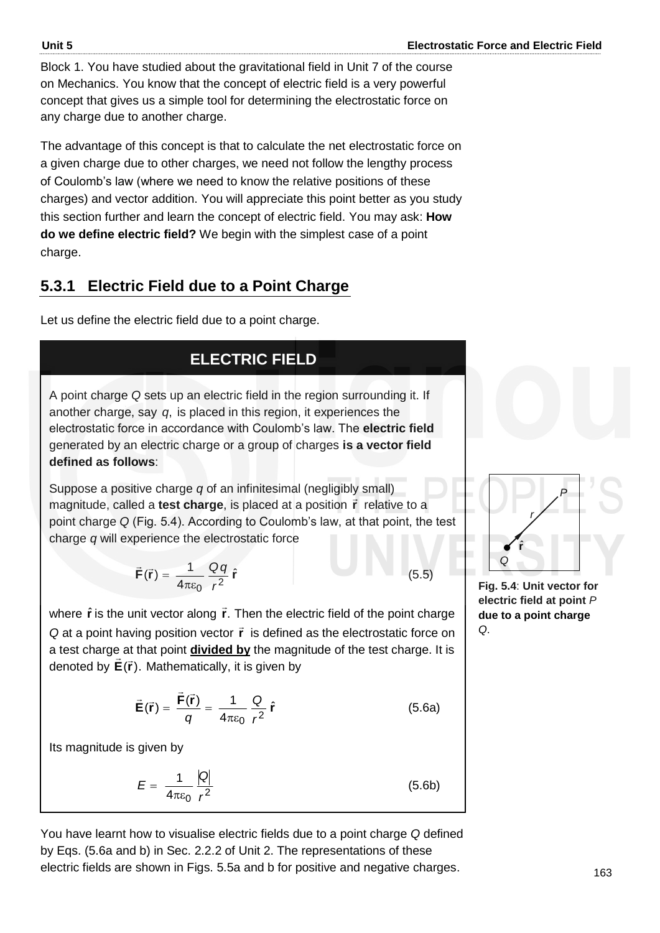Block 1. You have studied about the gravitational field in Unit 7 of the course on Mechanics. You know that the concept of electric field is a very powerful concept that gives us a simple tool for determining the electrostatic force on any charge due to another charge.

The advantage of this concept is that to calculate the net electrostatic force on a given charge due to other charges, we need not follow the lengthy process of Coulomb's law (where we need to know the relative positions of these charges) and vector addition. You will appreciate this point better as you study this section further and learn the concept of electric field. You may ask: **How do we define electric field?** We begin with the simplest case of a point charge.

### **5.3.1 Electric Field due to a Point Charge**

Let us define the electric field due to a point charge.

### **ELECTRIC FIELD**

A point charge *Q* sets up an electric field in the region surrounding it. If another charge, say *q*, is placed in this region, it experiences the electrostatic force in accordance with Coulomb's law. The **electric field** generated by an electric charge or a group of charges **is a vector field defined as follows**:

Suppose a positive charge *q* of an infinitesimal (negligibly small) magnitude, called a **test charge**, is placed at a position **r** relative to a point charge *Q* (Fig. 5.4). According to Coulomb's law, at that point, the test charge *q* will experience the electrostatic force

$$
\vec{\mathbf{F}}(\vec{\mathbf{r}}) = \frac{1}{4\pi\varepsilon_0} \frac{Qq}{r^2} \hat{\mathbf{r}}
$$
 (5.5)

where  $\hat{\mathbf{r}}$  is the unit vector along  $\vec{\mathbf{r}}$ . Then the electric field of the point charge Q at a point having position vector **r** is defined as the electrostatic force on a test charge at that point **divided by** the magnitude of the test charge. It is a test sharge at that peak **arriage by** the magnetic discreption

$$
\vec{E}(\vec{r}) = \frac{\vec{F}(\vec{r})}{q} = \frac{1}{4\pi\epsilon_0} \frac{Q}{r^2} \hat{r}
$$
 (5.6a)

Its magnitude is given by

$$
E = \frac{1}{4\pi\varepsilon_0} \frac{|Q|}{r^2} \tag{5.6b}
$$

You have learnt how to visualise electric fields due to a point charge *Q* defined by Eqs. (5.6a and b) in Sec. 2.2.2 of Unit 2. The representations of these electric fields are shown in Figs. 5.5a and b for positive and negative charges.

$$
\begin{array}{c}\n\bigcap_{\alpha} P_{\alpha} \\ \hline\n\end{array}
$$

**Fig. 5.4**: **Unit vector for electric field at point** *P* **due to a point charge**  *Q*.

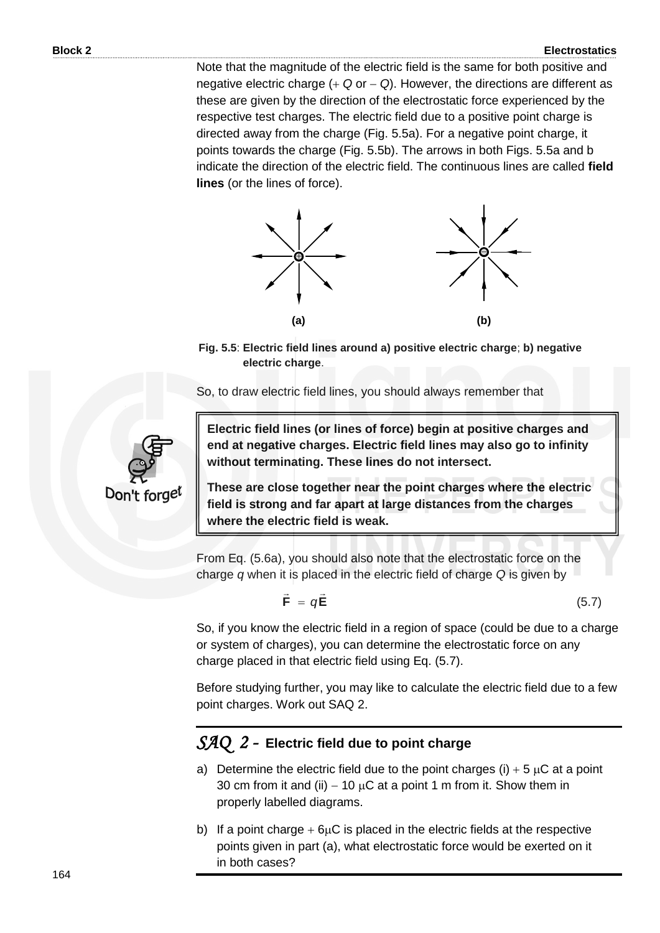Note that the magnitude of the electric field is the same for both positive and negative electric charge  $( + Q$  or  $- Q)$ . However, the directions are different as these are given by the direction of the electrostatic force experienced by the respective test charges. The electric field due to a positive point charge is directed away from the charge (Fig. 5.5a). For a negative point charge, it points towards the charge (Fig. 5.5b). The arrows in both Figs. 5.5a and b indicate the direction of the electric field. The continuous lines are called **field lines** (or the lines of force).



**Fig. 5.5**: **Electric field lines around a) positive electric charge**; **b) negative electric charge**.

So, to draw electric field lines, you should always remember that



**Electric field lines (or lines of force) begin at positive charges and end at negative charges. Electric field lines may also go to infinity without terminating. These lines do not intersect.**

**These are close together near the point charges where the electric field is strong and far apart at large distances from the charges where the electric field is weak.**

From Eq. (5.6a), you should also note that the electrostatic force on the charge *q* when it is placed in the electric field of charge *Q* is given by

$$
\vec{\mathbf{F}} = q\vec{\mathbf{E}} \tag{5.7}
$$

So, if you know the electric field in a region of space (could be due to a charge or system of charges), you can determine the electrostatic force on any charge placed in that electric field using Eq. (5.7).

Before studying further, you may like to calculate the electric field due to a few point charges. Work out SAQ 2.

### *SAQ 2 -* **Electric field due to point charge**

- a) Determine the electric field due to the point charges (i)  $+5 \mu C$  at a point 30 cm from it and (ii)  $-10 \mu C$  at a point 1 m from it. Show them in properly labelled diagrams.
- b) If a point charge  $+6\mu$ C is placed in the electric fields at the respective points given in part (a), what electrostatic force would be exerted on it in both cases?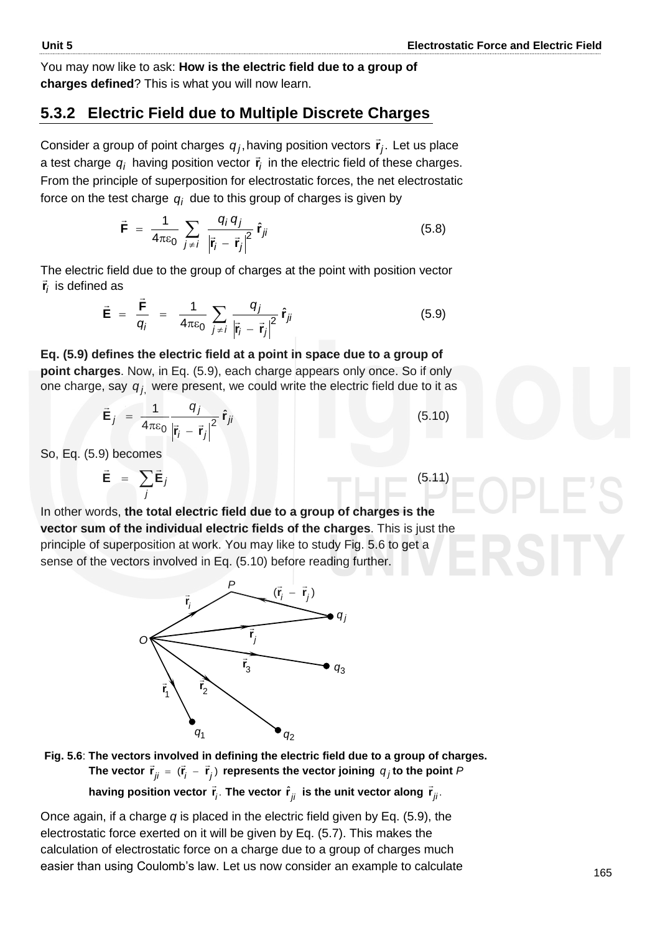(5.11)

You may now like to ask: **How is the electric field due to a group of charges defined**? This is what you will now learn.

### **5.3.2 Electric Field due to Multiple Discrete Charges**

Consider a group of point charges  $q_j$ , having position vectors  $\vec{\mathbf{r}}_j$ . Let us place a test charge  $q_i$  having position vector  $\vec{\mathbf{r}}_i$  $\vec{r}_i$  in the electric field of these charges. From the principle of superposition for electrostatic forces, the net electrostatic force on the test charge  $\, q_{\scriptscriptstyle I} \,$  due to this group of charges is given by

$$
\vec{\mathbf{F}} = \frac{1}{4\pi\epsilon_0} \sum_{j \neq i} \frac{q_j q_j}{\left|\vec{\mathbf{r}}_i - \vec{\mathbf{r}}_j\right|^2} \hat{\mathbf{r}}_{ji}
$$
(5.8)

The electric field due to the group of charges at the point with position vector *i* **r** incesidence is  $\vec{r}_i$  is defined as

$$
\vec{\mathbf{E}} = \frac{\vec{\mathbf{F}}}{q_i} = \frac{1}{4\pi\epsilon_0} \sum_{j \neq i} \frac{q_j}{|\vec{\mathbf{r}}_i - \vec{\mathbf{r}}_j|^2} \hat{\mathbf{r}}_{ji}
$$
(5.9)

**Eq. (5.9) defines the electric field at a point in space due to a group of point charges**. Now, in Eq. (5.9), each charge appears only once. So if only one charge, say *q j*, were present, we could write the electric field due to it as

$$
\vec{\mathbf{E}}_j = \frac{1}{4\pi\epsilon_0} \frac{q_j}{\left|\vec{\mathbf{r}}_i - \vec{\mathbf{r}}_j\right|^2} \hat{\mathbf{r}}_{ji}
$$
(5.10)

So, Eq. (5.9) becomes

$$
\vec{\mathbf{E}} = \sum_{j} \vec{\mathbf{E}}_{j}
$$

*O*

In other words, **the total electric field due to a group of charges is the vector sum of the individual electric fields of the charges**. This is just the principle of superposition at work. You may like to study Fig. 5.6 to get a sense of the vectors involved in Eq. (5.10) before reading further.

*P*

*i* **r**



3 **r**

*j* **r**

 $(\vec{r}_i - \vec{r}_j)$ 

*q*3

*q j*

having position vector  $\vec{r}_j$ . The vector  $\hat{r}_{ji}$  is the unit vector along  $\vec{r}_{ji}$ .

Once again, if a charge *q* is placed in the electric field given by Eq. (5.9), the electrostatic force exerted on it will be given by Eq. (5.7). This makes the calculation of electrostatic force on a charge due to a group of charges much easier than using Coulomb's law. Let us now consider an example to calculate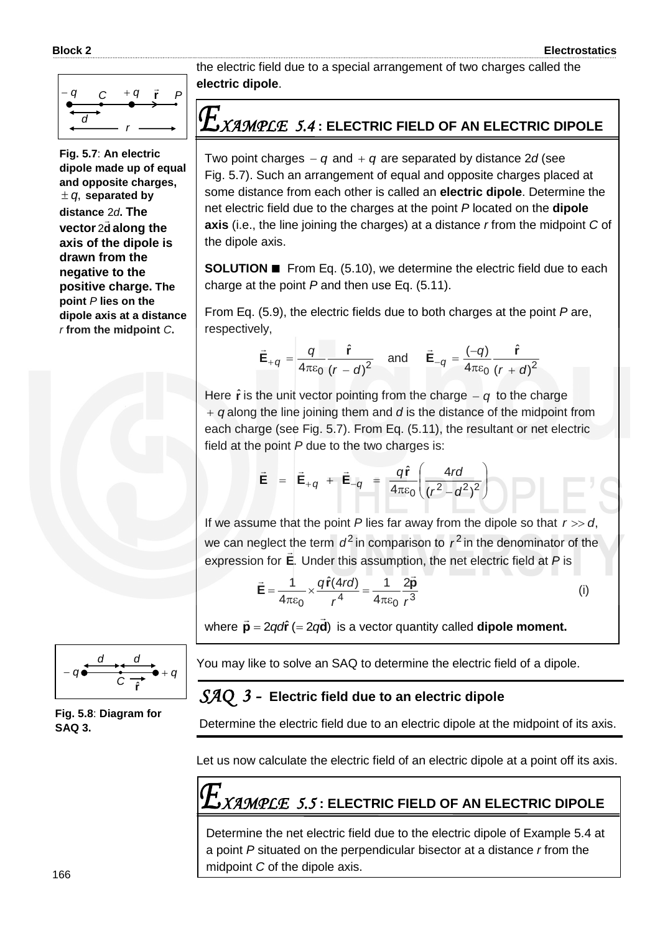

**Fig. 5.7**: **An electric dipole made up of equal and opposite charges,**   $\pm$   $q$ , separated by **distance** 2*d***. The** vector<sub>2d</sub>  $\frac{1}{1}$ 2 **along the axis of the dipole is drawn from the negative to the positive charge. The point** *P* **lies on the dipole axis at a distance**  *r* **from the midpoint** *C***.**



**Fig. 5.8**: **Diagram for SAQ 3.**

the electric field due to a special arrangement of two charges called the **electric dipole**.

### *XAMPLE 5.4* **: ELECTRIC FIELD OF AN ELECTRIC DIPOLE**

Two point charges  $-q$  and  $+q$  are separated by distance 2*d* (see Fig. 5.7). Such an arrangement of equal and opposite charges placed at some distance from each other is called an **electric dipole**. Determine the net electric field due to the charges at the point *P* located on the **dipole axis** (i.e., the line joining the charges) at a distance *r* from the midpoint *C* of the dipole axis.

**SOLUTION ■** From Eq. (5.10), we determine the electric field due to each charge at the point *P* and then use Eq. (5.11).

From Eq. (5.9), the electric fields due to both charges at the point *P* are, respectively,

$$
\vec{\mathbf{E}}_{+q} = \frac{q}{4\pi\epsilon_0} \frac{\hat{\mathbf{r}}}{(r-d)^2} \quad \text{and} \quad \vec{\mathbf{E}}_{-q} = \frac{(-q)}{4\pi\epsilon_0} \frac{\hat{\mathbf{r}}}{(r+d)^2}
$$

Here  $\hat{\mathbf{r}}$  is the unit vector pointing from the charge  $-q$  to the charge *q* along the line joining them and *d* is the distance of the midpoint from each charge (see Fig. 5.7). From Eq. (5.11), the resultant or net electric field at the point *P* due to the two charges is:

$$
\vec{\mathbf{E}} = \vec{\mathbf{E}}_{+q} + \vec{\mathbf{E}}_{-q} = \frac{q\hat{\mathbf{r}}}{4\pi\epsilon_0} \left( \frac{4rd}{(r^2 - d^2)^2} \right)
$$

If we assume that the point  $P$  lies far away from the dipole so that  $r \gg d$ , we can neglect the term  $d^2$  in comparison to  $r^2$  in the denominator of the expression for **E**. Under this assumption, the net electric field at *P* is

$$
\vec{E} = \frac{1}{4\pi\epsilon_0} \times \frac{q\hat{r}(4r\sigma)}{r^4} = \frac{1}{4\pi\epsilon_0} \frac{2\vec{p}}{r^3}
$$
 (i)

where  $\vec{\mathbf{p}} = 2q$ d**r** (= 2 $q\vec{\mathbf{d}}$ ) = 2qdr (= 2qd) is a vector quantity called **dipole moment.** 

You may like to solve an SAQ to determine the electric field of a dipole.

### *SAQ 3 -* **Electric field due to an electric dipole**

Determine the electric field due to an electric dipole at the midpoint of its axis.

Let us now calculate the electric field of an electric dipole at a point off its axis.

$$
\textit{EXAMPLE 5.5}: \textbf{ELECTRIC FIELD OF AN ELECTRIC DIPOLE}
$$

Determine the net electric field due to the electric dipole of Example 5.4 at a point *P* situated on the perpendicular bisector at a distance *r* from the midpoint *C* of the dipole axis.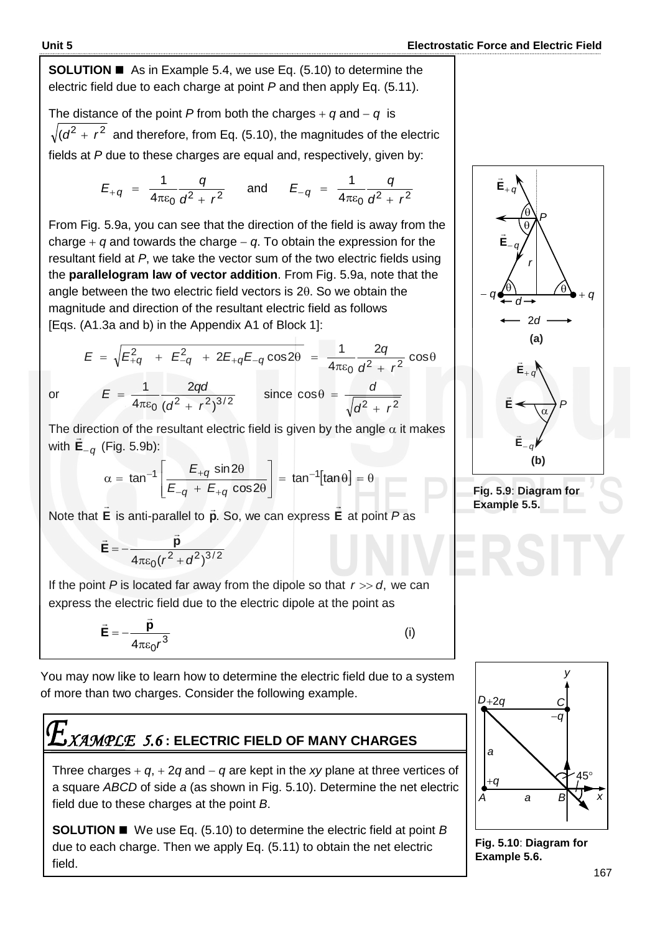**SOLUTION ■** As in Example 5.4, we use Eq. (5.10) to determine the electric field due to each charge at point *P* and then apply Eq. (5.11).

The distance of the point *P* from both the charges  $+ q$  and  $- q$  is  $(d^2 + r^2)$  and therefore, from Eq. (5.10), the magnitudes of the electric fields at *P* due to these charges are equal and, respectively, given by:

$$
E_{+q} = \frac{1}{4\pi\varepsilon_0} \frac{q}{d^2 + r^2} \quad \text{and} \quad E_{-q} = \frac{1}{4\pi\varepsilon_0} \frac{q}{d^2 + r^2}
$$

From Fig. 5.9a, you can see that the direction of the field is away from the charge  $+$  q and towards the charge  $-$  q. To obtain the expression for the resultant field at *P*, we take the vector sum of the two electric fields using the **parallelogram law of vector addition**. From Fig. 5.9a, note that the angle between the two electric field vectors is  $2\theta$ . So we obtain the magnitude and direction of the resultant electric field as follows [Eqs. (A1.3a and b) in the Appendix A1 of Block 1]:

$$
E = \sqrt{E_{+q}^{2} + E_{-q}^{2} + 2E_{+q}E_{-q}\cos 2\theta} = \frac{1}{4\pi\epsilon_{0}}\frac{2q}{d^{2} + r^{2}}\cos \theta
$$
  
or 
$$
E = \frac{1}{4\pi\epsilon_{0}}\frac{2qd}{(d^{2} + r^{2})^{3/2}} \qquad \text{since } \cos \theta = \frac{d}{\sqrt{d^{2} + r^{2}}}
$$

or

The direction of the resultant electric field is given by the angle  $\alpha$  it makes with **E***<sup>q</sup>* (Fig. 5.9b):

$$
\vec{E}_{-q}
$$
 (Fig. 5.9b):  

$$
\alpha = \tan^{-1} \left[ \frac{E_{+q} \sin 2\theta}{E_{-q} + E_{+q} \cos 2\theta} \right] = \tan^{-1}[\tan \theta] = \theta
$$

Note that **E**  $\overline{\phantom{a}}$ is anti-parallel to **p**. So, we can express **E**  $\overline{\phantom{a}}$ at point *P* as

$$
\vec{E}=-\frac{\vec{p}}{4\pi\epsilon_0(r^2+d^2)^{3/2}}
$$

If the point  $P$  is located far away from the dipole so that  $r \gg d$ , we can express the electric field due to the electric dipole at the point as

$$
\vec{E} = -\frac{\vec{p}}{4\pi\epsilon_0 r^3}
$$

(i)

You may now like to learn how to determine the electric field due to a system of more than two charges. Consider the following example.

### *XAMPLE 5.6* **: ELECTRIC FIELD OF MANY CHARGES**

Three charges  $+ q$ ,  $+ 2q$  and  $- q$  are kept in the *xy* plane at three vertices of a square *ABCD* of side *a* (as shown in Fig. 5.10). Determine the net electric field due to these charges at the point *B*.

**SOLUTION ■** We use Eq. (5.10) to determine the electric field at point *B* due to each charge. Then we apply Eq. (5.11) to obtain the net electric field.









**Fig. 5.10**: **Diagram for Example 5.6.**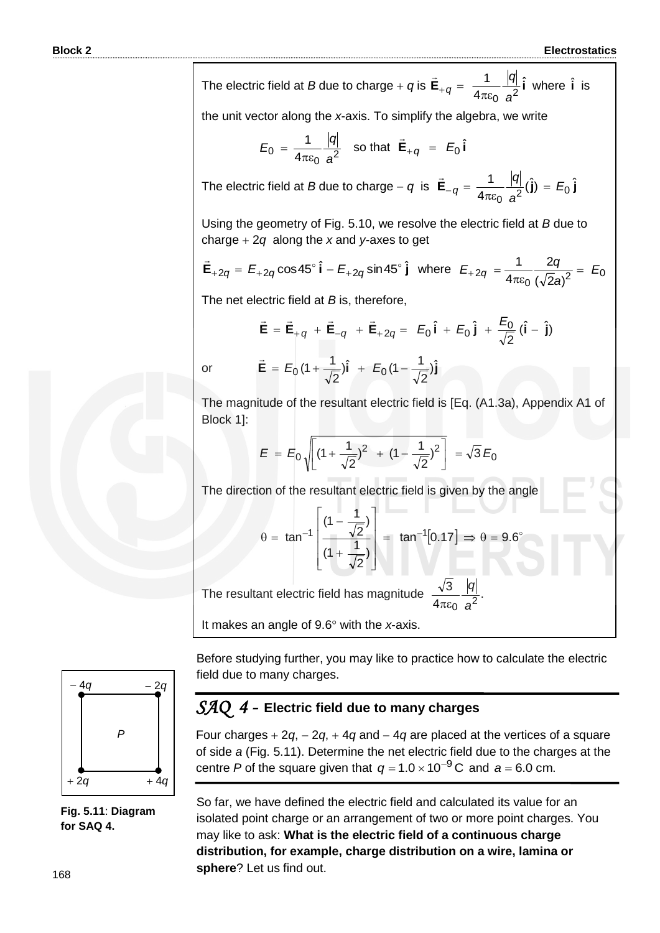The electric field at B due to charge + q is 
$$
\vec{E}_{+q} = \frac{1}{4\pi\varepsilon_0} \frac{|q|}{a^2} \hat{i}
$$
 where  $\hat{i}$  is  
\nthe unit vector along the x-axis. To simplify the algebra, we write  
\n
$$
E_0 = \frac{1}{4\pi\varepsilon_0} \frac{|q|}{a^2}
$$
 so that  $\vec{E}_{+q} = E_0 \hat{i}$   
\nThe electric field at B due to charge - q is  $\vec{E}_{-q} = \frac{1}{4\pi\varepsilon_0} \frac{|q|}{a^2} (\hat{j}) = E_0 \hat{j}$   
\nUsing the geometry of Fig. 5.10, we resolve the electric field at B due to  
\ncharge + 2q along the x and y axes to get  
\n
$$
\vec{E}_{+2q} = E_{+2q} \cos 45^\circ \hat{i} - E_{+2q} \sin 45^\circ \hat{j}
$$
 where  $E_{+2q} = \frac{1}{4\pi\varepsilon_0} \frac{2q}{(\sqrt{2}a)^2} = E_0$   
\nThe net electric field at B is, therefore,  
\n
$$
\vec{E} = \vec{E}_{+q} + \vec{E}_{-q} + \vec{E}_{+2q} = E_0 \hat{i} + E_0 \hat{j} + \frac{E_0}{\sqrt{2}} (\hat{i} - \hat{j})
$$
\nor  
\n
$$
\vec{E} = E_0 (1 + \frac{1}{\sqrt{2}}) \hat{i} + E_0 (1 - \frac{1}{\sqrt{2}}) \hat{j}
$$
\nThe magnitude of the resultant electric field is [Eq. (A1.3a), Appendix A1 of  
\nBlock 1]:  
\n
$$
E = E_0 \sqrt{\left[ (1 + \frac{1}{\sqrt{2}})^2 + (1 - \frac{1}{\sqrt{2}})^2 \right]} = \sqrt{3} E_0
$$
\nThe direction of the resultant electric field is given by the angle  
\n
$$
0 = \tan^{-1} \left( \frac{(1 - \frac{1}{\sqrt{2}})}{(1 + \frac{1}{\sqrt{2}})} \right) = \tan^{-1} [0.17] \Rightarrow 0 = 9.6^\circ
$$
\nThe resultant electric field has magnitude  $\frac{\sqrt{3}}{4\pi\varepsilon_0} \frac{|q|}{a^2}$ .  
\nIt makes an angle of 9.6° with the x-axis.

Before studying further, you may like to practice how to calculate the electric field due to many charges.

### *SAQ 4 -* **Electric field due to many charges**

Four charges  $+ 2q$ ,  $- 2q$ ,  $+ 4q$  and  $- 4q$  are placed at the vertices of a square of side *a* (Fig. 5.11). Determine the net electric field due to the charges at the centre P of the square given that  $q = 1.0 \times 10^{-9}$  C and  $a = 6.0$  cm.

So far, we have defined the electric field and calculated its value for an isolated point charge or an arrangement of two or more point charges. You may like to ask: **What is the electric field of a continuous charge distribution, for example, charge distribution on a wire, lamina or sphere**? Let us find out.



**Fig. 5.11**: **Diagram for SAQ 4.**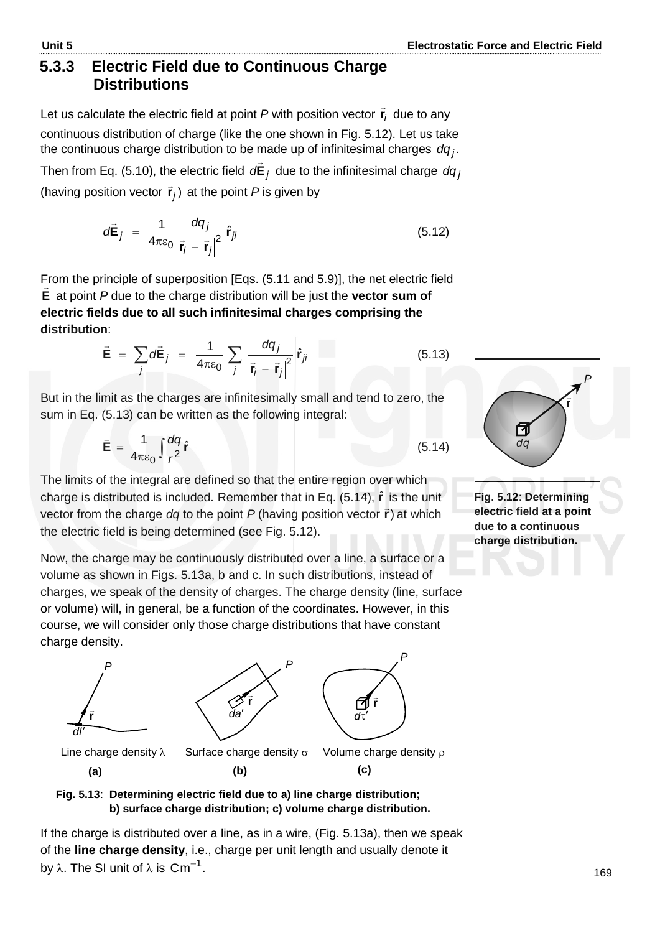### **5.3.3 Electric Field due to Continuous Charge Distributions**

Let us calculate the electric field at point *P* with position vector *i* **r**  $\vec{r}_i$  due to any continuous distribution of charge (like the one shown in Fig. 5.12). Let us take the continuous charge distribution to be made up of infinitesimal charges . *dq <sup>j</sup>*

Then from Eq. (5.10), the electric field *d***E***<sup>j</sup>*  $\rightarrow$  due to the infinitesimal charge *dq <sup>j</sup>* (having position vector  $\vec{r}_j$ ) at the point *P* is given by

$$
o\vec{\mathbf{E}}_j = \frac{1}{4\pi\epsilon_0} \frac{dq_j}{\left|\vec{\mathbf{r}}_i - \vec{\mathbf{r}}_j\right|^2} \hat{\mathbf{r}}_{ji}
$$
(5.12)

From the principle of superposition [Eqs. (5.11 and 5.9)], the net electric field **E** at point *P* due to the charge distribution will be just the **vector sum of electric fields due to all such infinitesimal charges comprising the distribution**:

$$
\vec{\mathbf{E}} = \sum_{j} d\vec{\mathbf{E}}_{j} = \frac{1}{4\pi\epsilon_{0}} \sum_{j} \frac{dq_{j}}{\left|\vec{r}_{j} - \vec{r}_{j}\right|^{2}} \hat{r}_{ji}
$$
(5.13)

But in the limit as the charges are infinitesimally small and tend to zero, the sum in Eq. (5.13) can be written as the following integral:

$$
\vec{\mathbf{E}} = \frac{1}{4\pi\epsilon_0} \int \frac{dq}{r^2} \hat{\mathbf{r}} \tag{5.14}
$$

The limits of the integral are defined so that the entire region over which charge is distributed is included. Remember that in Eq. (5.14), **r** ˆ is the unit vector from the charge  $dq$  to the point  $P$  (having position vector  $\vec{r}$ ) at which the electric field is being determined (see Fig. 5.12).

Now, the charge may be continuously distributed over a line, a surface or a volume as shown in Figs. 5.13a, b and c. In such distributions, instead of charges, we speak of the density of charges. The charge density (line, surface or volume) will, in general, be a function of the coordinates. However, in this course, we will consider only those charge distributions that have constant charge density.



#### **Fig. 5.13**: **Determining electric field due to a) line charge distribution; b) surface charge distribution; c) volume charge distribution.**

If the charge is distributed over a line, as in a wire, (Fig. 5.13a), then we speak of the **line charge density**, i.e., charge per unit length and usually denote it by  $\lambda.$  The SI unit of  $\lambda$  is  $\textsf{Cm}^{-1}.$ 



**Fig. 5.12**: **Determining electric field at a point due to a continuous charge distribution.**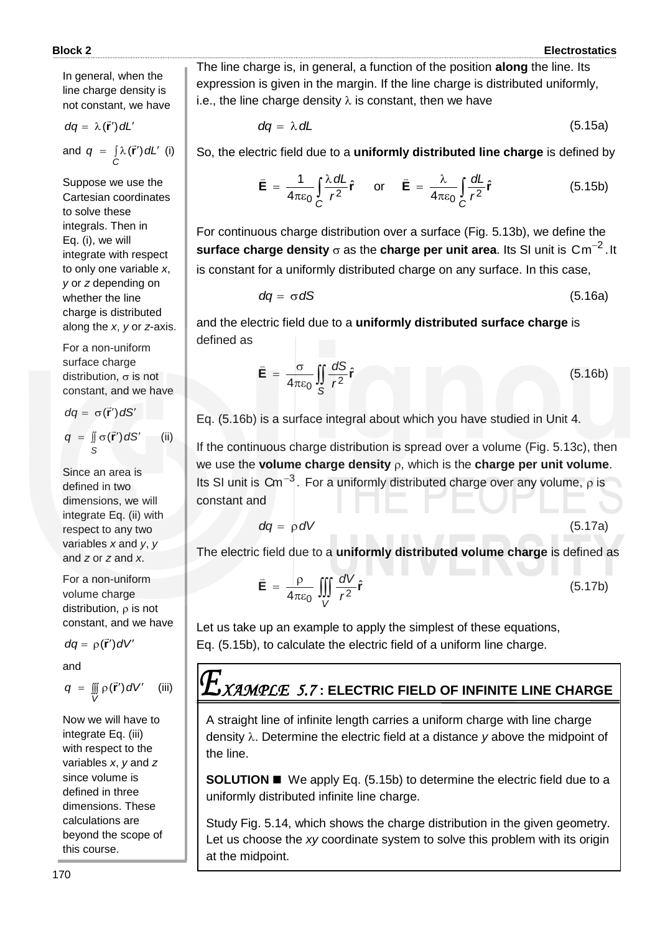In general, when the line charge density is not constant, we have

$$
dq = \lambda(\vec{r}') dL'
$$

and  $q = \int_{C} \lambda(\vec{r}') dL'$  $q = \int \lambda(\vec{r}') dL'$  (i)

Suppose we use the Cartesian coordinates to solve these integrals. Then in Eq. (i), we will integrate with respect to only one variable *x*, *y* or *z* depending on whether the line charge is distributed along the *x*, *y* or *z*-axis.

For a non-uniform surface charge distribution,  $\sigma$  is not constant, and we have

$$
dq = \sigma(\vec{r}') dS'
$$
  
q = 
$$
\iint_{S} \sigma(\vec{r}') dS'
$$
 (ii)

Since an area is defined in two dimensions, we will integrate Eq. (ii) with respect to any two variables *x* and *y*, *y* and *z* or *z* and *x*.

For a non-uniform volume charge distribution,  $\rho$  is not constant, and we have

$$
dq = \rho(\vec{r}') dV'
$$

and

$$
q = \mathop{\mathbb{II}}\limits_V \rho(\vec{r}') dV' \quad \text{(iii)}
$$

Now we will have to integrate Eq. (iii) with respect to the variables *x*, *y* and *z* since volume is defined in three dimensions. These calculations are beyond the scope of this course.

The line charge is, in general, a function of the position **along** the line. Its expression is given in the margin. If the line charge is distributed uniformly, i.e., the line charge density  $\lambda$  is constant, then we have

$$
dq = \lambda dL \tag{5.15a}
$$

So, the electric field due to a **uniformly distributed line charge** is defined by

$$
\vec{\mathbf{E}} = \frac{1}{4\pi\epsilon_0} \int_C \frac{\lambda \, dL}{r^2} \hat{\mathbf{r}} \quad \text{or} \quad \vec{\mathbf{E}} = \frac{\lambda}{4\pi\epsilon_0} \int_C \frac{dL}{r^2} \hat{\mathbf{r}} \quad (5.15b)
$$

For continuous charge distribution over a surface (Fig. 5.13b), we define the  $\boldsymbol{\mathsf{s}}$ urface charge density  $\sigma$  as the charge per unit area. Its SI unit is  $\boldsymbol{\mathsf{C}}\boldsymbol{\mathsf{m}}^{-2}.$  It is constant for a uniformly distributed charge on any surface. In this case,

$$
dq = \sigma dS \tag{5.16a}
$$

and the electric field due to a **uniformly distributed surface charge** is defined as

$$
\vec{\mathbf{E}} = \frac{\sigma}{4\pi\epsilon_0} \iint\limits_{S} \frac{dS}{r^2} \hat{\mathbf{r}}
$$
 (5.16b)

Eq. (5.16b) is a surface integral about which you have studied in Unit 4.

If the continuous charge distribution is spread over a volume (Fig. 5.13c), then we use the **volume charge density**  $\rho$ , which is the **charge per unit volume**. Its SI unit is Cm<sup>-3</sup>. For a uniformly distributed charge over any volume,  $\rho$  is constant and

$$
dq = \rho \, dV \tag{5.17a}
$$

The electric field due to a **uniformly distributed volume charge** is defined as

$$
\vec{\mathbf{E}} = \frac{\rho}{4\pi\epsilon_0} \iiint\limits_V \frac{dV}{r^2} \hat{\mathbf{r}}
$$
 (5.17b)

Let us take up an example to apply the simplest of these equations, Eq. (5.15b), to calculate the electric field of a uniform line charge.

### *XAMPLE 5.7* **: ELECTRIC FIELD OF INFINITE LINE CHARGE**

A straight line of infinite length carries a uniform charge with line charge density  $\lambda$ . Determine the electric field at a distance y above the midpoint of the line.

**SOLUTION** ■ We apply Eq. (5.15b) to determine the electric field due to a uniformly distributed infinite line charge.

Study Fig. 5.14, which shows the charge distribution in the given geometry. Let us choose the *xy* coordinate system to solve this problem with its origin at the midpoint.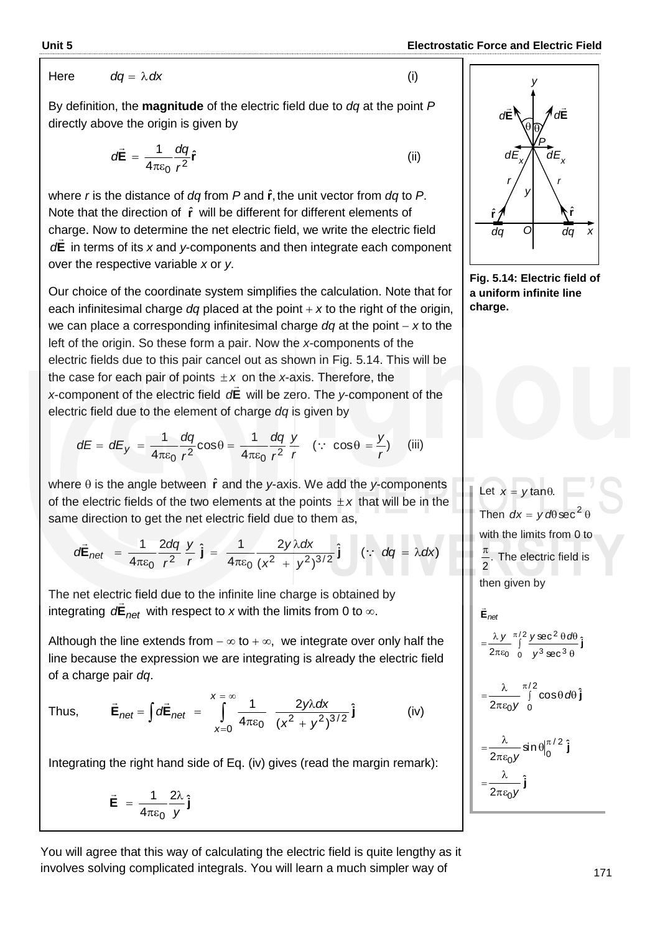Here 
$$
dq = \lambda dx
$$

By definition, the **magnitude** of the electric field due to *dq* at the point *P* directly above the origin is given by

$$
d\vec{\mathbf{E}} = \frac{1}{4\pi\varepsilon_0} \frac{dq}{r^2} \hat{\mathbf{r}}
$$
 (ii)

where *r* is the distance of *dq* from *P* and **r** ˆ , the unit vector from *dq* to *P*. Note that the direction of  $\hat{r}$  will be different for different elements of charge. Now to determine the net electric field, we write the electric field **E** *d* in terms of its *x* and *y*-components and then integrate each component over the respective variable *x* or *y*.

Our choice of the coordinate system simplifies the calculation. Note that for each infinitesimal charge *dq* placed at the point *x* to the right of the origin, we can place a corresponding infinitesimal charge *dq* at the point *x* to the left of the origin. So these form a pair. Now the *x*-components of the electric fields due to this pair cancel out as shown in Fig. 5.14. This will be the case for each pair of points  $\pm x$  on the *x*-axis. Therefore, the x-component of the electric field o<sup>r</sup> will be zero. The y-component of the electric field due to the element of charge *dq* is given by

$$
dE = dE_y = \frac{1}{4\pi\varepsilon_0} \frac{dq}{r^2} \cos\theta = \frac{1}{4\pi\varepsilon_0} \frac{dq}{r^2} \frac{y}{r} \quad (\because \cos\theta = \frac{y}{r}) \quad \text{(iii)}
$$

where  $\theta$  is the angle between  $\hat{r}$  and the *y*-axis. We add the *y*-components of the electric fields of the two elements at the points  $\pm x$  that will be in the same direction to get the net electric field due to them as,

$$
d\vec{E}_{net} = \frac{1}{4\pi\epsilon_0} \frac{2dq}{r^2} \frac{y}{r} \hat{j} = \frac{1}{4\pi\epsilon_0} \frac{2y\lambda dx}{(x^2 + y^2)^{3/2}} \hat{j} \quad (\because dq = \lambda dx)
$$

The net electric field due to the infinite line charge is obtained by integrating  $d\mathbf{E}_{net}$  with respect to *x* with the limits from 0 to  $\infty$ .

Although the line extends from  $-\infty$  to  $+\infty$ , we integrate over only half the line because the expression we are integrating is already the electric field of a charge pair *dq*.

Thus, 
$$
\vec{E}_{net} = \int d\vec{E}_{net} = \int_{x=0}^{x=\infty} \frac{1}{4\pi\epsilon_0} \frac{2y\lambda dx}{(x^2 + y^2)^{3/2}} \hat{j}
$$
 (iv)

Integrating the right hand side of Eq. (iv) gives (read the margin remark):

$$
\vec{\mathbf{E}} = \frac{1}{4\pi\epsilon_0} \frac{2\lambda}{y} \hat{\mathbf{j}}
$$

You will agree that this way of calculating the electric field is quite lengthy as it involves solving complicated integrals. You will learn a much simpler way of



**Fig. 5.14: Electric field of a uniform infinite line charge.**

Let  $x = y \tan \theta$ . Then  $dx = y d\theta \sec^2 \theta$ with the limits from 0 to . 2  $\pi$ The electric field is then given by J  $\theta$  $\theta$  d $\theta$ πε  $=\frac{\lambda y}{\lambda} \int_{0}^{\pi/2}$  $0$   $y^3$  sec  $^3$ 2  $\ddot{\theta}$ ˆ sec sec  $\frac{\pi y}{2\pi \epsilon_0}$   $\int_0^1 \frac{y \csc \theta \cos \theta}{\sqrt{3} \sec^3 \theta}$ **E** *net y*  $y \pi/2$ ysec<sup>2</sup>  $\theta$ a  $\rightarrow$  $=\frac{1}{2}$  | π/2<br>∫ cosθ*d*θ  $\pi\varepsilon$  $\lambda$   $\pi/2$  $6$ y 0  $\cos\theta d\theta$ 2  $d\theta$  j *y*  $\sin \theta \big|_{0}^{\pi/2}$  j 2 2/  $\delta$ y  $\sim$   $\sim$   $\sim$   $\sim$   $\sim$  $\theta$ <sub>0</sub>  $\pi \varepsilon$  $=\frac{\lambda}{2\pi\epsilon_0}$ y

**j** ˆ

2πε<sub>0</sub> y  $=-\frac{\lambda}{\lambda}$ 

(i)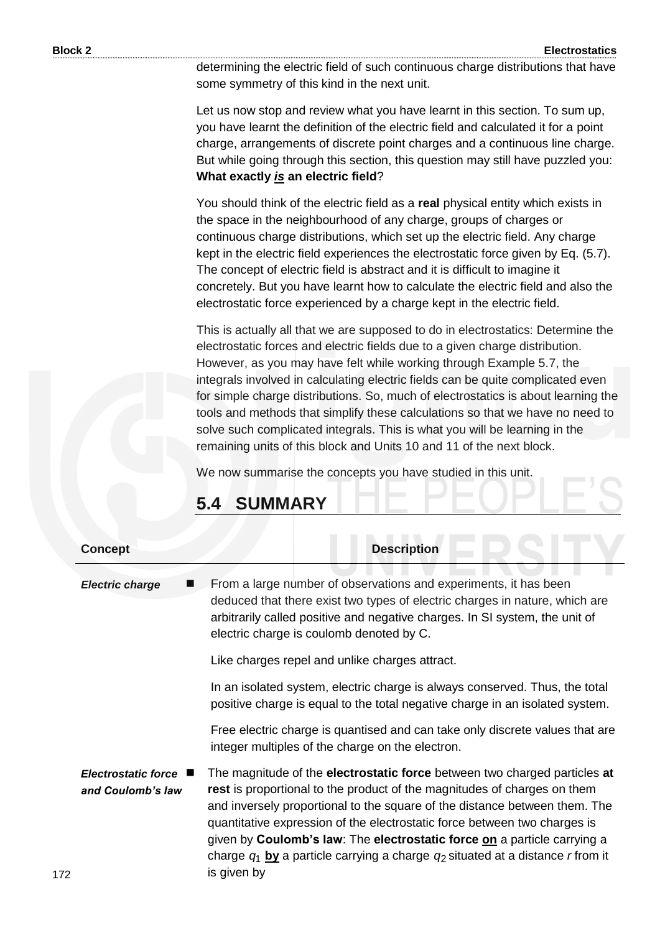determining the electric field of such continuous charge distributions that have some symmetry of this kind in the next unit.

Let us now stop and review what you have learnt in this section. To sum up, you have learnt the definition of the electric field and calculated it for a point charge, arrangements of discrete point charges and a continuous line charge. But while going through this section, this question may still have puzzled you: **What exactly** *is* **an electric field**?

You should think of the electric field as a **real** physical entity which exists in the space in the neighbourhood of any charge, groups of charges or continuous charge distributions, which set up the electric field. Any charge kept in the electric field experiences the electrostatic force given by Eq. (5.7). The concept of electric field is abstract and it is difficult to imagine it concretely. But you have learnt how to calculate the electric field and also the electrostatic force experienced by a charge kept in the electric field.

This is actually all that we are supposed to do in electrostatics: Determine the electrostatic forces and electric fields due to a given charge distribution. However, as you may have felt while working through Example 5.7, the integrals involved in calculating electric fields can be quite complicated even for simple charge distributions. So, much of electrostatics is about learning the tools and methods that simplify these calculations so that we have no need to solve such complicated integrals. This is what you will be learning in the remaining units of this block and Units 10 and 11 of the next block.

We now summarise the concepts you have studied in this unit.

| <b>Concept</b>                           | <b>Description</b>                                                                                                                                                                                                                                                                                                                                                                                                                                                                                                       |
|------------------------------------------|--------------------------------------------------------------------------------------------------------------------------------------------------------------------------------------------------------------------------------------------------------------------------------------------------------------------------------------------------------------------------------------------------------------------------------------------------------------------------------------------------------------------------|
| <b>Electric charge</b>                   | From a large number of observations and experiments, it has been<br>deduced that there exist two types of electric charges in nature, which are<br>arbitrarily called positive and negative charges. In SI system, the unit of<br>electric charge is coulomb denoted by C.                                                                                                                                                                                                                                               |
|                                          | Like charges repel and unlike charges attract.                                                                                                                                                                                                                                                                                                                                                                                                                                                                           |
|                                          | In an isolated system, electric charge is always conserved. Thus, the total<br>positive charge is equal to the total negative charge in an isolated system.                                                                                                                                                                                                                                                                                                                                                              |
|                                          | Free electric charge is quantised and can take only discrete values that are<br>integer multiples of the charge on the electron.                                                                                                                                                                                                                                                                                                                                                                                         |
| Electrostatic force<br>and Coulomb's law | The magnitude of the <b>electrostatic force</b> between two charged particles at<br>rest is proportional to the product of the magnitudes of charges on them<br>and inversely proportional to the square of the distance between them. The<br>quantitative expression of the electrostatic force between two charges is<br>given by <b>Coulomb's law</b> : The <b>electrostatic force on</b> a particle carrying a<br>charge $q_1$ by a particle carrying a charge $q_2$ situated at a distance r from it<br>is given by |

### **5.4 SUMMARY**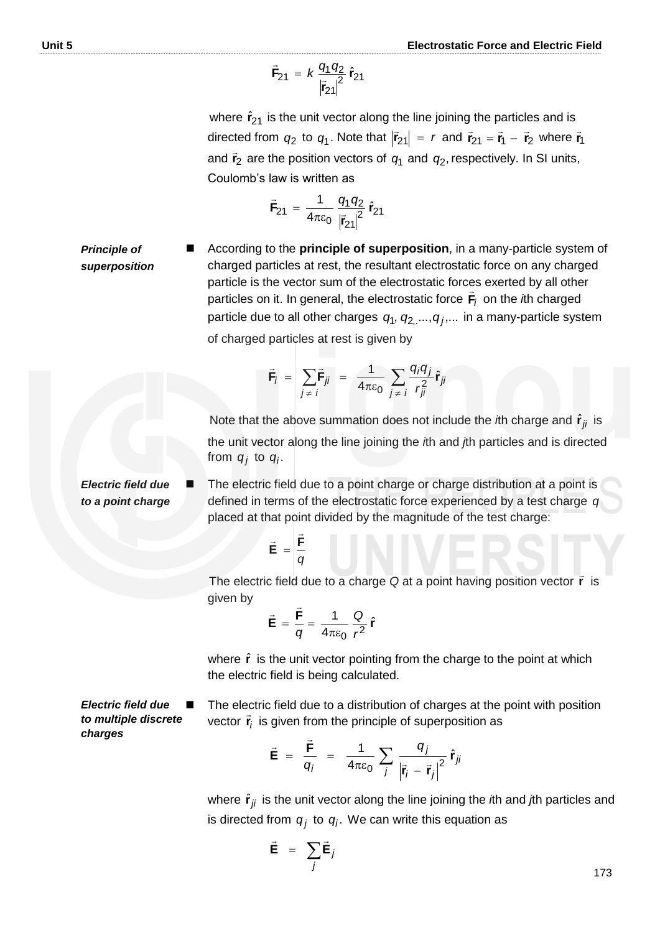$$
\vec{F}_{21} = k \frac{q_1 q_2}{|\vec{r}_{21}|^2} \hat{r}_{21}
$$

where  $\hat{\mathbf{r}}_{21}$  is the unit vector along the line joining the particles and is directed from  $q_2$  to  $q_1$ . Note that  $|\vec{r}_{21}| = r$  and  $\vec{r}_{21} = \vec{r}_1 - \vec{r}_2$  where  $\vec{r}_1$ and  $\vec{r}_2$  are the position vectors of  $q_1$  and  $q_2$ , respectively. In SI units, Coulomb's law is written as

$$
\vec{F}_{21} = \frac{1}{4\pi\epsilon_0} \frac{q_1 q_2}{|\vec{r}_{21}|^2} \hat{r}_{21}
$$

*Principle of superposition* According to the **principle of superposition**, in a many-particle system of charged particles at rest, the resultant electrostatic force on any charged particle is the vector sum of the electrostatic forces exerted by all other particles on it. In general, the electrostatic force  $F_i$  on the *i*th charged particle due to all other charges  $q_1, q_{2,\dots}, q_j, ...$  in a many-particle system of charged particles at rest is given by

$$
\vec{\mathbf{F}}_i = \sum_{j \neq i} \vec{\mathbf{F}}_{ji} = \frac{1}{4\pi\epsilon_0} \sum_{j \neq i} \frac{q_i q_j}{r_{ji}^2} \hat{\mathbf{r}}_{ji}
$$

Note that the above summation does not include the *i*th charge and  $\hat{\mathbf{r}}_{ji}$  is the unit vector along the line joining the *i*th and *j*th particles and is directed from  $q_j$  to  $q_i$ .

*Electric field due to a point charge* The electric field due to a point charge or charge distribution at a point is defined in terms of the electrostatic force experienced by a test charge *q* placed at that point divided by the magnitude of the test charge:

$$
\vec{\mathbf{E}} = \frac{\vec{\mathbf{F}}}{q}
$$

 The electric field due to a charge *Q* at a point having position vector **r** is given by  $\overline{a}$ 

$$
\vec{\mathbf{E}} = \frac{\vec{\mathbf{F}}}{q} = \frac{1}{4\pi\epsilon_0} \frac{Q}{r^2} \hat{\mathbf{r}}
$$

where  $\hat{\mathbf{r}}$  is the unit vector pointing from the charge to the point at which the electric field is being calculated.

*Electric field due to multiple discrete charges*

 The electric field due to a distribution of charges at the point with position vector r̃<sub>i</sub> F<sub>i</sub> is given from the principle of superposition as

$$
\vec{\mathbf{E}} = \frac{\vec{\mathbf{F}}}{q_i} = \frac{1}{4\pi\epsilon_0} \sum_j \frac{q_j}{|\vec{\mathbf{r}}_i - \vec{\mathbf{r}}_j|^2} \hat{\mathbf{r}}_{ji}
$$

where  $\hat{\mathbf{r}}_{ji}$  is the unit vector along the line joining the *i*th and *j*th particles and is directed from  $\boldsymbol{q}_j$  to  $\boldsymbol{q}_i$ . We can write this equation as

$$
\vec{\mathbf{E}} = \sum_{j} \vec{\mathbf{E}}_{j}
$$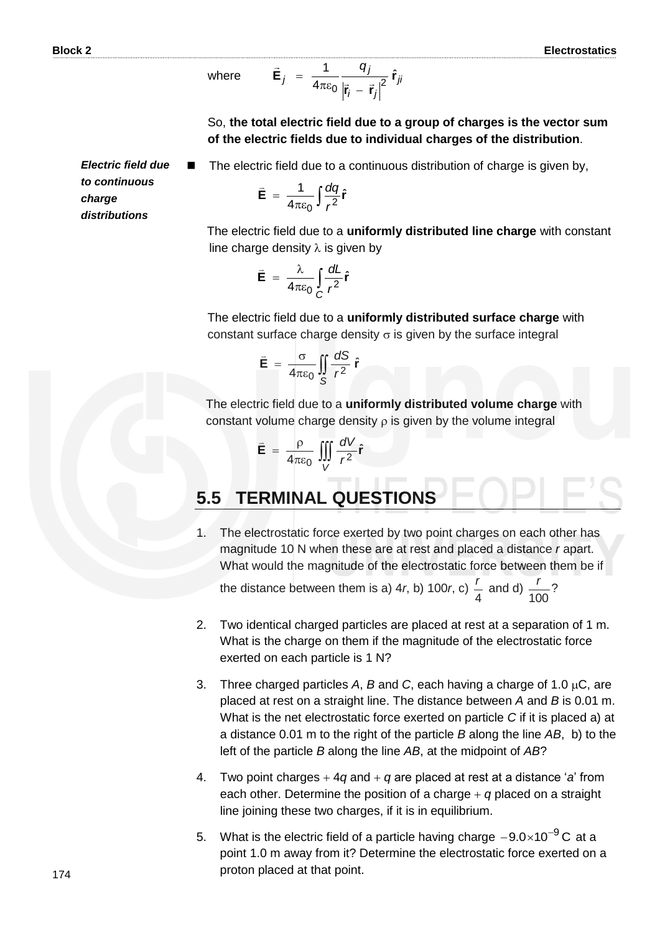where 
$$
\vec{\mathbf{E}}_j = \frac{1}{4\pi\epsilon_0} \frac{q_j}{|\vec{\mathbf{r}}_i - \vec{\mathbf{r}}_j|^2} \hat{\mathbf{r}}_{ji}
$$

So, **the total electric field due to a group of charges is the vector sum of the electric fields due to individual charges of the distribution**.

The electric field due to a continuous distribution of charge is given by,

*Electric field due to continuous charge distributions*

$$
\vec{\mathbf{E}} = \frac{1}{4\pi\epsilon_0} \int \frac{dq}{r^2} \hat{\mathbf{r}}
$$

 The electric field due to a **uniformly distributed line charge** with constant line charge density  $\lambda$  is given by

$$
\vec{\mathbf{E}} = \frac{\lambda}{4\pi\epsilon_0} \int_C \frac{dL}{r^2} \hat{\mathbf{r}}
$$

The electric field due to a **uniformly distributed surface charge** with constant surface charge density  $\sigma$  is given by the surface integral

$$
\vec{E} = \frac{\sigma}{4\pi\epsilon_0} \iint\limits_{S} \frac{dS}{r^2} \hat{r}
$$

The electric field due to a **uniformly distributed volume charge** with constant volume charge density  $\rho$  is given by the volume integral

$$
\vec{\mathbf{E}} = \frac{\rho}{4\pi\epsilon_0} \iiint\limits_{V} \frac{dV}{r^2} \hat{\mathbf{r}}
$$

### **5.5 TERMINAL QUESTIONS**

1. The electrostatic force exerted by two point charges on each other has magnitude 10 N when these are at rest and placed a distance *r* apart. What would the magnitude of the electrostatic force between them be if

the distance between them is a) 4*r*, b) 100*r*, c) 4  $\frac{r}{1}$  and d)  $\frac{r}{100}$ ? 100 *r*

- 2. Two identical charged particles are placed at rest at a separation of 1 m. What is the charge on them if the magnitude of the electrostatic force exerted on each particle is 1 N?
- 3. Three charged particles A,  $B$  and C, each having a charge of 1.0  $\mu$ C, are placed at rest on a straight line. The distance between *A* and *B* is 0.01 m. What is the net electrostatic force exerted on particle *C* if it is placed a) at a distance 0.01 m to the right of the particle *B* along the line *AB*, b) to the left of the particle *B* along the line *AB*, at the midpoint of *AB*?
- 4. Two point charges  $+4q$  and  $+q$  are placed at rest at a distance 'a' from each other. Determine the position of a charge  $+$  q placed on a straight line joining these two charges, if it is in equilibrium.
- 5. What is the electric field of a particle having charge  $-9.0\times10^{-9}$ C at a point 1.0 m away from it? Determine the electrostatic force exerted on a proton placed at that point.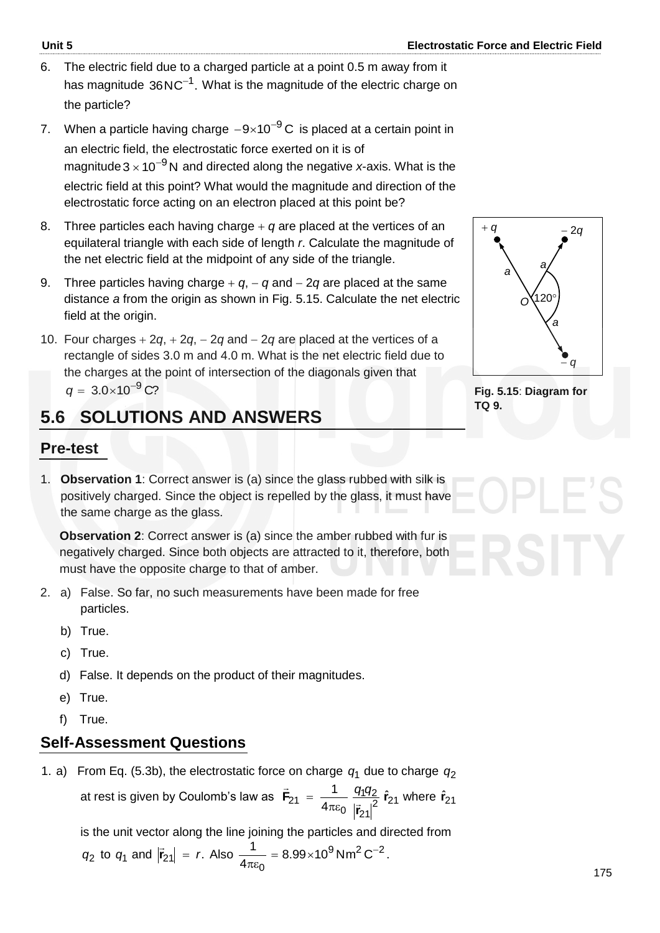- 6. The electric field due to a charged particle at a point 0.5 m away from it has magnitude  $36 \mathrm{NC}^{-1}$ . What is the magnitude of the electric charge on the particle?
- 7. When a particle having charge  $-9\times10^{-9}$ C is placed at a certain point in an electric field, the electrostatic force exerted on it is of magnitude $3\!\times\!10^{-9}$ N and directed along the negative *x*-axis. What is the electric field at this point? What would the magnitude and direction of the electrostatic force acting on an electron placed at this point be?
- 8. Three particles each having charge  $+ q$  are placed at the vertices of an equilateral triangle with each side of length *r*. Calculate the magnitude of the net electric field at the midpoint of any side of the triangle.
- 9. Three particles having charge  $+ q$ ,  $q$  and  $2q$  are placed at the same distance *a* from the origin as shown in Fig. 5.15. Calculate the net electric field at the origin.
- 10. Four charges  $+ 2q$ ,  $+ 2q$ ,  $2q$  and  $2q$  are placed at the vertices of a rectangle of sides 3.0 m and 4.0 m. What is the net electric field due to the charges at the point of intersection of the diagonals given that  $q = 3.0 \times 10^{-9}$  C?

### **5.6 SOLUTIONS AND ANSWERS**

### **Pre-test**

1. **Observation 1**: Correct answer is (a) since the glass rubbed with silk is positively charged. Since the object is repelled by the glass, it must have the same charge as the glass.

**Observation 2**: Correct answer is (a) since the amber rubbed with fur is negatively charged. Since both objects are attracted to it, therefore, both must have the opposite charge to that of amber.

- 2. a) False. So far, no such measurements have been made for free particles.
	- b) True.
	- c) True.
	- d) False. It depends on the product of their magnitudes.
	- e) True.
	- f) True.

### **Self-Assessment Questions**

1. a) From Eq. (5.3b), the electrostatic force on charge  $q_1$  due to charge  $q_2$ 

at rest is given by Coulomb's law as  $\mathbf{F}_{21} = \frac{1}{4\pi\epsilon_0} \frac{9192}{|z|^2} \hat{\mathbf{r}}_{21}$ 21 <u>142</u>  $\mathbf 0$  $\dot{z}_2$ <sub>1</sub> =  $\frac{1}{4\pi\epsilon_0} \frac{q_1q_2}{|\vec{r}_{\Omega}|^2} \hat{r}_1$  $\frac{1}{\sqrt{2}} \frac{q_1 q_2}{q_1 q_2} \hat{r}$  $\mathbf{F}_{21} = \frac{1}{4\pi\epsilon_0} \frac{9}{|\vec{r}|^2}$  $\frac{1}{2}$  1  $q_1q_2$  $πε$  $=\frac{1}{4\pi\epsilon_0}\frac{q_1q_2}{r_1^2}$   $\hat{r}_{21}$  where  $\hat{r}_{21}$ 

is the unit vector along the line joining the particles and directed from

$$
q_2
$$
 to  $q_1$  and  $|\vec{r}_{21}| = r$ . Also  $\frac{1}{4\pi\epsilon_0} = 8.99 \times 10^9 \text{ Nm}^2 \text{ C}^{-2}$ .



**Fig. 5.15**: **Diagram for TQ 9.**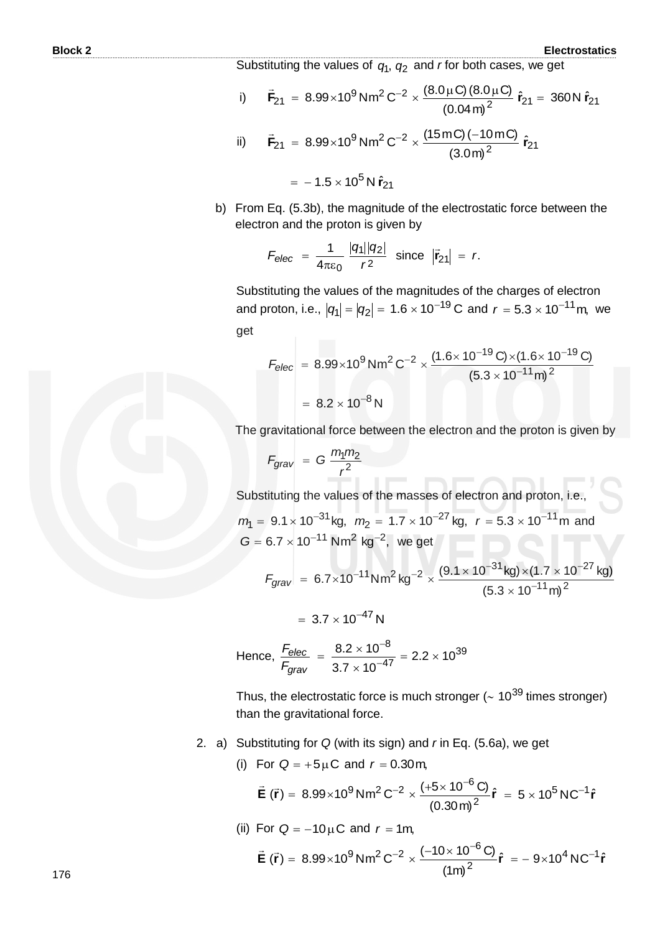Substituting the values of  $q_1$ ,  $q_2$  and *r* for both cases, we get

i) 
$$
\vec{F}_{21} = 8.99 \times 10^9 \text{ Nm}^2 \text{ C}^{-2} \times \frac{(8.0 \mu \text{C})(8.0 \mu \text{C})}{(0.04 \text{ m})^2} \hat{r}_{21} = 360 \text{ N } \hat{r}_{21}
$$
  
\nii)  $\vec{F}_{21} = 8.99 \times 10^9 \text{ Nm}^2 \text{ C}^{-2} \times \frac{(15 \text{ mC})(-10 \text{ mC})}{(3.0 \text{ m})^2} \hat{r}_{21}$ 

 $=$   $-1.5 \times 10^5$  N  $\hat{r}_{21}$ 

b) From Eq. (5.3b), the magnitude of the electrostatic force between the electron and the proton is given by

$$
F_{\text{elec}} = \frac{1}{4\pi\varepsilon_0} \frac{|q_1||q_2|}{r^2} \text{ since } |\vec{r}_{21}| = r.
$$

Substituting the values of the magnitudes of the charges of electron and proton, i.e.,  $|q_1|=|q_2|=~1.6\times 10^{-19}\, \text{C}$  and  $\,r=5.3\times 10^{-11}\, \text{m}$ , we get

$$
F_{\text{elec}} = 8.99 \times 10^{9} \text{ Nm}^{2} \text{ C}^{-2} \times \frac{(1.6 \times 10^{-19} \text{ C}) \times (1.6 \times 10^{-19} \text{ C})}{(5.3 \times 10^{-11} \text{ m})^{2}}
$$

$$
= 8.2 \times 10^{-8} \text{ N}
$$

The gravitational force between the electron and the proton is given by

$$
F_{grav} = G \frac{m_1 m_2}{r^2}
$$

Substituting the values of the masses of electron and proton, i.e.

$$
m_1 = 9.1 \times 10^{-31}
$$
 kg,  $m_2 = 1.7 \times 10^{-27}$  kg,  $r = 5.3 \times 10^{-11}$  m and  
\n $G = 6.7 \times 10^{-11}$  Nm<sup>2</sup> kg<sup>-2</sup>, we get

$$
F_{grav} = 6.7 \times 10^{-11} \text{Nm}^2 \text{ kg}^{-2} \times \frac{(9.1 \times 10^{-31} \text{ kg}) \times (1.7 \times 10^{-27} \text{ kg})}{(5.3 \times 10^{-11} \text{ m})^2}
$$

$$
= 3.7 \times 10^{-47} N
$$

Hence, 
$$
\frac{F_{elec}}{F_{grav}} = \frac{8.2 \times 10^{-8}}{3.7 \times 10^{-47}} = 2.2 \times 10^{39}
$$

Thus, the electrostatic force is much stronger ( $\sim$  10<sup>39</sup> times stronger) than the gravitational force.

- 2. a) Substituting for *Q* (with its sign) and *r* in Eq. (5.6a), we get
	- (i) For  $Q = +5 \mu C$  and  $r = 0.30$  m,

$$
\vec{E}(\vec{r}) = 8.99 \times 10^{9} \,\text{N} \,\text{m}^{2} \,\text{C}^{-2} \times \frac{(+5 \times 10^{-6} \,\text{C})}{(0.30 \,\text{m})^{2}} \hat{r} = 5 \times 10^{5} \,\text{N} \,\text{C}^{-1} \hat{r}
$$

(ii) For  $Q = -10 \mu C$  and  $r = 1m$ ,

$$
\vec{E}(\vec{r}) = 8.99 \times 10^{9} \,\text{N} \,\text{m}^{2} \,\text{C}^{-2} \times \frac{(-10 \times 10^{-6} \,\text{C})}{(1 \,\text{m})^{2}} \hat{r} = -9 \times 10^{4} \,\text{N} \,\text{C}^{-1} \hat{r}
$$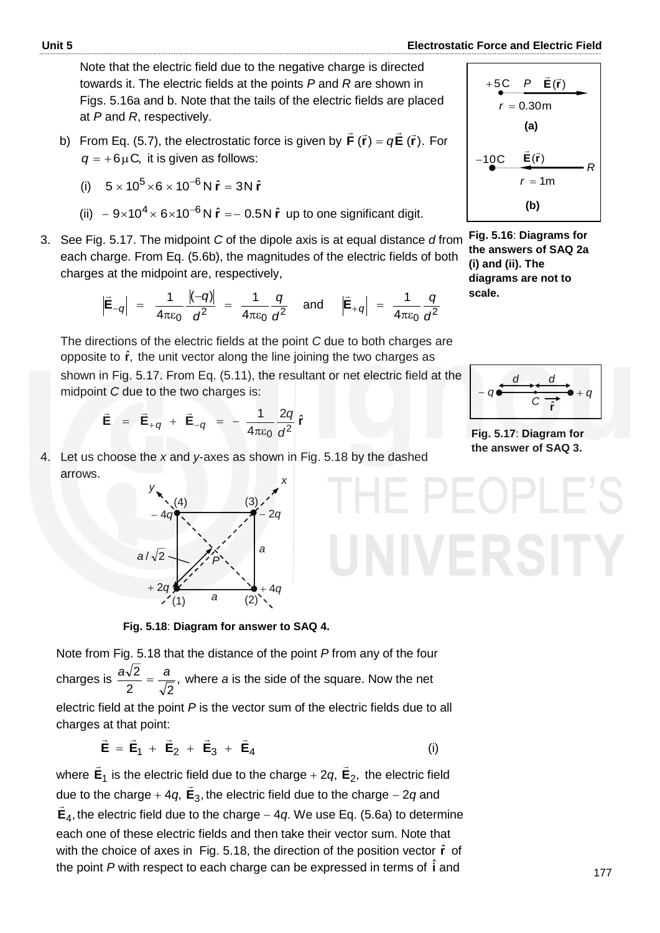Note that the electric field due to the negative charge is directed towards it. The electric fields at the points *P* and *R* are shown in Figs. 5.16a and b. Note that the tails of the electric fields are placed at *P* and *R*, respectively.

b) From Eq. (5.7), the electrostatic force is given by  $\mathsf{F}(\vec{\mathsf{r}}) = q\mathsf{E}(\vec{\mathsf{r}})$ .  $\vec{\bm{\mathsf{F}}}$  ( $\vec{\bm{\mathsf{r}}}$ ) =  $q\vec{\bm{\mathsf{E}}}$  ( $\vec{\bm{\mathsf{r}}}$ ). For  $q = +6 \mu C$ , it is given as follows:

(i) 
$$
5 \times 10^5 \times 6 \times 10^{-6} N \hat{r} = 3N \hat{r}
$$

- (ii)  $-9 \times 10^4 \times 6 \times 10^{-6}$  N  $\hat{r} = -0.5$  N  $\hat{r}$  up to one significant digit.
- 3. See Fig. 5.17. The midpoint *C* of the dipole axis is at equal distance *d* from each charge. From Eq. (5.6b), the magnitudes of the electric fields of both charges at the midpoint are, respectively,

$$
\left|\vec{E}_{-q}\right| = \frac{1}{4\pi\epsilon_0} \frac{|(-q)|}{d^2} = \frac{1}{4\pi\epsilon_0} \frac{q}{d^2}
$$
 and  $\left|\vec{E}_{+q}\right| = \frac{1}{4\pi\epsilon_0} \frac{q}{d^2}$ 

The directions of the electric fields at the point *C* due to both charges are opposite to  $\hat{\mathbf{r}}$ , the unit vector along the line joining the two charges as shown in Fig. 5.17. From Eq. (5.11), the resultant or net electric field at the midpoint *C* due to the two charges is:

$$
\vec{\mathbf{E}} = \vec{\mathbf{E}}_{+q} + \vec{\mathbf{E}}_{-q} = -\frac{1}{4\pi\epsilon_0} \frac{2q}{d^2} \hat{\mathbf{r}}
$$

4. Let us choose the *x* and *y*-axes as shown in Fig. 5.18 by the dashed arrows.



**Fig. 5.18**: **Diagram for answer to SAQ 4.**

Note from Fig. 5.18 that the distance of the point *P* from any of the four charges is  $\frac{u \cdot v}{2} = \frac{u}{\sqrt{2}}$ , 2  $\sqrt{2}$  $\frac{a\sqrt{2}}{2} = \frac{a}{\sqrt{2}}$ , where *a* is the side of the square. Now the net electric field at the point *P* is the vector sum of the electric fields due to all charges at that point:

$$
\vec{E} = \vec{E}_1 + \vec{E}_2 + \vec{E}_3 + \vec{E}_4
$$
 (i)

where **E**1  $\rightarrow$ is the electric field due to the charge  $+$  2*q*,  $\mathbf{E}_{2}$ ,  $\rightarrow$ the electric field due to the charge  $+$  4*q*,  $E_3$ ,  $\overline{\phantom{a}}$ the electric field due to the charge  $-2q$  and , **E**<sup>4</sup>  $\overline{\phantom{a}}$ the electric field due to the charge  $-4q$ . We use Eq. (5.6a) to determine each one of these electric fields and then take their vector sum. Note that with the choice of axes in Fig. 5.18, the direction of the position vector  $\hat{r}$  of the point P with respect to each charge can be expressed in terms of  $\hat{\textbf{i}}$  and

$$
+5C \quad P \quad \vec{E}(\vec{r})
$$
\n
$$
r = 0.30 \text{m}
$$
\n(a)\n
$$
-10C \quad \vec{E}(\vec{r})
$$
\n
$$
r = 1 \text{m}
$$
\n(b)

**Fig. 5.16**: **Diagrams for the answers of SAQ 2a (i) and (ii). The diagrams are not to scale.** 



**Fig. 5.17**: **Diagram for the answer of SAQ 3.**

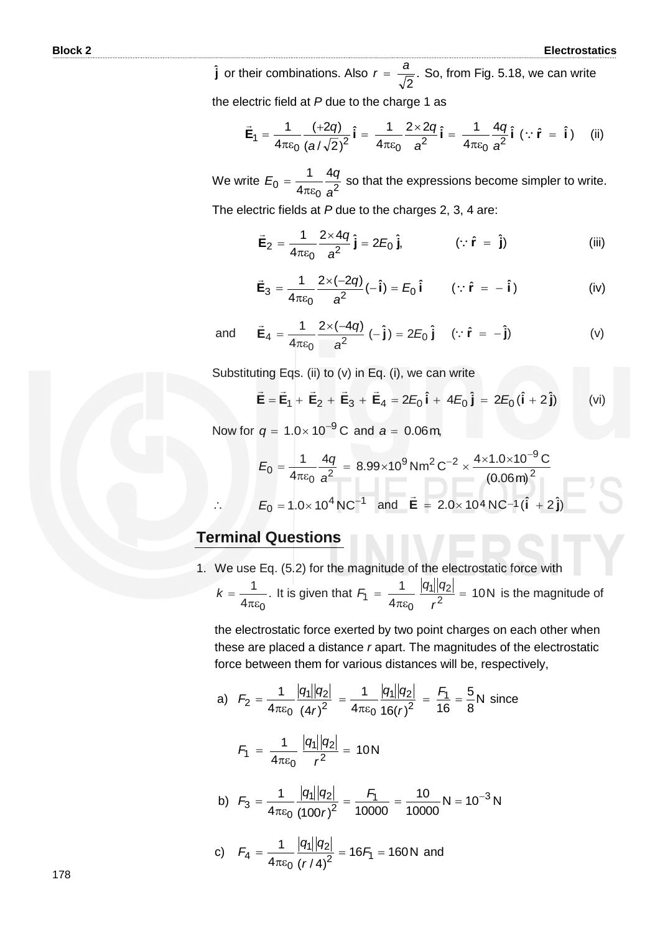**j** or their combinations. Also  $r = \frac{a}{\sqrt{2}}$ . 2  $r = \frac{a}{\sqrt{a}}$ . So, from Fig. 5.18, we can write the electric field at *P* due to the charge 1 as

$$
\vec{E}_1 = \frac{1}{4\pi\epsilon_0} \frac{(+2q)}{(a/\sqrt{2})^2} \hat{i} = \frac{1}{4\pi\epsilon_0} \frac{2 \times 2q}{a^2} \hat{i} = \frac{1}{4\pi\epsilon_0} \frac{4q}{a^2} \hat{i} (\because \hat{r} = \hat{i})
$$
 (ii)

We write  $E_0 = \frac{1}{4\pi\varepsilon_0} \frac{19}{a^2}$  $\overline{0}$ 4 4 1 *a*  $E_0 = \frac{1}{4} \frac{4q}{r^2}$ πε  $=$   $\frac{14}{2}$  so that the expressions become simpler to write.

The electric fields at *P* due to the charges 2, 3, 4 are:

$$
\vec{E}_2 = \frac{1}{4\pi\epsilon_0} \frac{2 \times 4q}{a^2} \hat{j} = 2E_0 \hat{j}, \qquad (\because \hat{r} = \hat{j})
$$
 (iii)

$$
\vec{\mathbf{E}}_3 = \frac{1}{4\pi\epsilon_0} \frac{2 \times (-2q)}{a^2} (-\hat{\mathbf{i}}) = E_0 \hat{\mathbf{i}} \qquad (\because \hat{\mathbf{r}} = -\hat{\mathbf{i}})
$$
 (iv)

and 
$$
\vec{E}_4 = \frac{1}{4\pi\epsilon_0} \frac{2 \times (-4q)}{a^2} (-\hat{j}) = 2E_0 \hat{j} \quad (\because \hat{r} = -\hat{j})
$$
 (v)

Substituting Eqs. (ii) to (v) in Eq. (i), we can write

$$
\vec{E} = \vec{E}_1 + \vec{E}_2 + \vec{E}_3 + \vec{E}_4 = 2E_0 \hat{i} + 4E_0 \hat{j} = 2E_0 (\hat{i} + 2\hat{j})
$$
 (vi)

Now for  $q = 1.0 \times 10^{-9}$  C and  $a = 0.06$  m,

$$
E_0 = \frac{1}{4\pi\varepsilon_0} \frac{4q}{a^2} = 8.99 \times 10^9 \text{ Nm}^2 \text{ C}^{-2} \times \frac{4 \times 1.0 \times 10^{-9} \text{ C}}{(0.06 \text{ m})^2}
$$
  
\n
$$
E_0 = 1.0 \times 10^4 \text{ N C}^{-1} \text{ and } \vec{E} = 2.0 \times 10^4 \text{ N C}^{-1} (\hat{i} + 2\hat{j})
$$

#### **Terminal Questions**

 $\therefore$ 

1. We use Eq. (5.2) for the magnitude of the electrostatic force with

$$
k = \frac{1}{4\pi\varepsilon_0}
$$
. It is given that  $F_1 = \frac{1}{4\pi\varepsilon_0} \frac{|q_1||q_2|}{r^2} = 10$  N is the magnitude of

the electrostatic force exerted by two point charges on each other when these are placed a distance *r* apart. The magnitudes of the electrostatic force between them for various distances will be, respectively,

a) 
$$
F_2 = \frac{1}{4\pi\epsilon_0} \frac{|q_1||q_2|}{(4r)^2} = \frac{1}{4\pi\epsilon_0} \frac{|q_1||q_2|}{16(r)^2} = \frac{F_1}{16} = \frac{5}{8}N
$$
 since  
\n $F_1 = \frac{1}{4\pi\epsilon_0} \frac{|q_1||q_2|}{r^2} = 10N$   
\nb)  $F_3 = \frac{1}{4\pi\epsilon_0} \frac{|q_1||q_2|}{(100r)^2} = \frac{F_1}{10000} = \frac{10}{10000}N = 10^{-3}N$   
\nc)  $F_4 = \frac{1}{4\pi\epsilon_0} \frac{|q_1||q_2|}{(r/4)^2} = 16F_1 = 160N$  and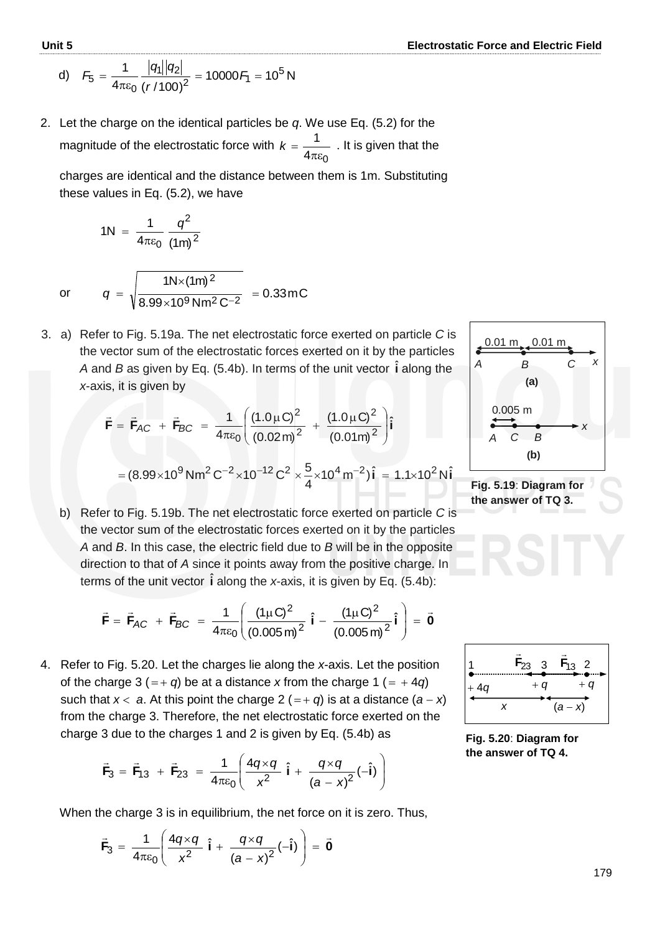d) 
$$
F_5 = \frac{1}{4\pi\epsilon_0} \frac{|q_1||q_2|}{(r/100)^2} = 10000 F_1 = 10^5 N
$$

2. Let the charge on the identical particles be *q*. We use Eq. (5.2) for the magnitude of the electrostatic force with  $4\pi \varepsilon_0$ 1  $πε$  $k = \frac{1}{1}$ . It is given that the

charges are identical and the distance between them is 1m. Substituting these values in Eq. (5.2), we have

1N = 
$$
\frac{1}{4\pi\epsilon_0} \frac{q^2}{(1m)^2}
$$
  

$$
q = \sqrt{\frac{1N \times (1m)^2}{8.99 \times 10^9 N m^2 C^{-2}}} = 0.33 m C
$$

3. a) Refer to Fig. 5.19a. The net electrostatic force exerted on particle *C* is the vector sum of the electrostatic forces exerted on it by the particles A and B as given by Eq. (5.4b). In terms of the unit vector  $\hat{\textbf{i}}$  along the *x*-axis, it is given by

$$
\vec{F} = \vec{F}_{AC} + \vec{F}_{BC} = \frac{1}{4\pi\epsilon_0} \left( \frac{(1.0 \,\mu\text{C})^2}{(0.02 \,\text{m})^2} + \frac{(1.0 \,\mu\text{C})^2}{(0.01 \,\text{m})^2} \right) \hat{i}
$$

$$
= (8.99 \times 10^9 \,\text{N} \,\text{m}^2 \,\text{C}^{-2} \times 10^{-12} \,\text{C}^2 \times \frac{5}{4} \times 10^4 \,\text{m}^{-2}) \hat{i} = 1.1 \times 10^2 \,\text{N} \hat{i}
$$

b) Refer to Fig. 5.19b. The net electrostatic force exerted on particle *C* is the vector sum of the electrostatic forces exerted on it by the particles *A* and *B*. In this case, the electric field due to *B* will be in the opposite direction to that of *A* since it points away from the positive charge. In terms of the unit vector  $\hat{\textbf{i}}$  along the *x*-axis, it is given by Eq. (5.4b):

$$
\vec{F} = \vec{F}_{AC} + \vec{F}_{BC} = \frac{1}{4\pi\epsilon_0} \left( \frac{(1\mu C)^2}{(0.005 \text{ m})^2} \hat{i} - \frac{(1\mu C)^2}{(0.005 \text{ m})^2} \hat{i} \right) = \vec{0}
$$

4. Refer to Fig. 5.20. Let the charges lie along the *x*-axis. Let the position of the charge 3 (=+ q) be at a distance x from the charge 1 (= + 4q) such that  $x < a$ . At this point the charge  $2(-+q)$  is at a distance  $(a-x)$ from the charge 3. Therefore, the net electrostatic force exerted on the charge 3 due to the charges 1 and 2 is given by Eq. (5.4b) as

$$
\vec{F}_3 = \vec{F}_{13} + \vec{F}_{23} = \frac{1}{4\pi\epsilon_0} \left( \frac{4q \times q}{x^2} \hat{i} + \frac{q \times q}{(a - x)^2} (-\hat{i}) \right)
$$

When the charge 3 is in equilibrium, the net force on it is zero. Thus,

$$
\vec{\mathsf{F}}_3 = \frac{1}{4\pi\epsilon_0} \left( \frac{4q \times q}{x^2} \hat{\mathsf{i}} + \frac{q \times q}{\left( a - x \right)^2} \left( -\hat{\mathsf{i}} \right) \right) = \vec{\mathsf{0}}
$$



**Fig. 5.19**: **Diagram for the answer of TQ 3.**



**Fig. 5.20**: **Diagram for the answer of TQ 4.**

or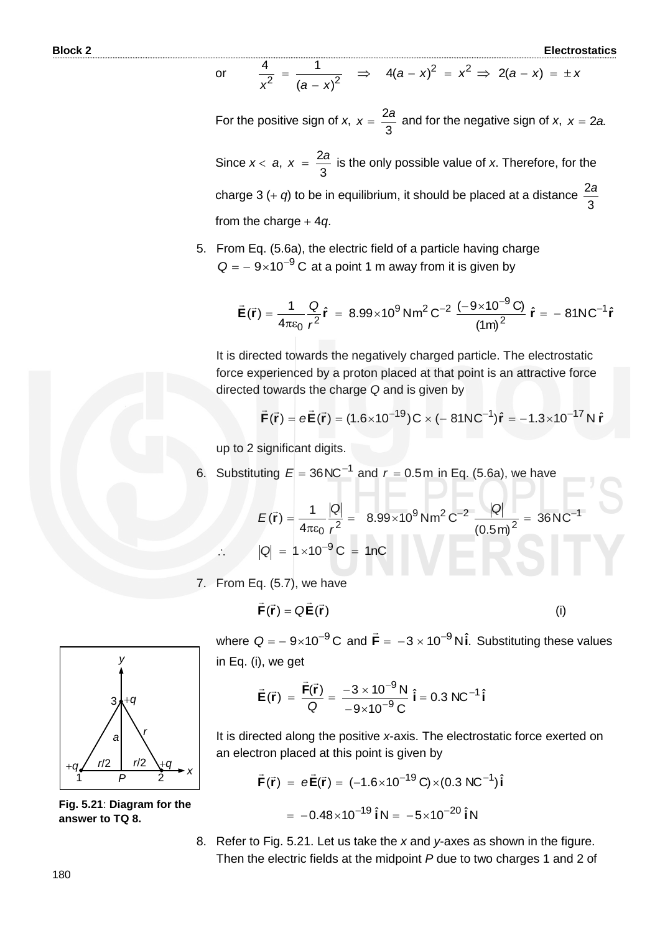or 
$$
\frac{4}{x^2} = \frac{1}{(a-x)^2} \implies 4(a-x)^2 = x^2 \implies 2(a-x) = \pm x
$$

For the positive sign of *x*, 3  $x = \frac{2a}{a}$  and for the negative sign of *x*,  $x = 2a$ .

Since *x a*, 3  $x = \frac{2a}{a}$  is the only possible value of *x*. Therefore, for the charge  $3 (+ q)$  to be in equilibrium, it should be placed at a distance 3 2*a* from the charge  $+4q$ .

5. From Eq. (5.6a), the electric field of a particle having charge  $Q = -9 \times 10^{-9}$  C at a point 1 m away from it is given by

$$
\vec{E}(\vec{r}) = \frac{1}{4\pi\epsilon_0} \frac{Q}{r^2} \hat{r} = 8.99 \times 10^9 \,\text{Nm}^2 \,\text{C}^{-2} \,\frac{(-9 \times 10^{-9} \,\text{C})}{\left(1 \,\text{m}\right)^2} \,\hat{r} = -81 \,\text{NC}^{-1} \,\hat{r}
$$

It is directed towards the negatively charged particle. The electrostatic force experienced by a proton placed at that point is an attractive force directed towards the charge *Q* and is given by

$$
\vec{F}(\vec{r}) = e\vec{E}(\vec{r}) = (1.6 \times 10^{-19})C \times (-81NC^{-1})\hat{r} = -1.3 \times 10^{-17} N \hat{r}
$$

up to 2 significant digits.

6. Substituting  $E = 36 \text{NC}^{-1}$  and  $r = 0.5 \text{m}$  in Eq. (5.6a), we have

$$
E(\vec{r}) = \frac{1}{4\pi\epsilon_0} \frac{|Q|}{r^2} = 8.99 \times 10^9 \text{ Nm}^2 \text{ C}^{-2} \frac{|Q|}{(0.5 \text{ m})^2} = 36 \text{ N C}^{-1}
$$
  
 
$$
\therefore |Q| = 1 \times 10^{-9} \text{ C} = 1 \text{ nC}
$$

HE PE

7. From Eq. (5.7), we have

$$
\vec{\mathbf{F}}(\vec{\mathbf{r}}) = \mathbf{Q}\vec{\mathbf{E}}(\vec{\mathbf{r}})
$$
 (i)



**Fig. 5.21**: **Diagram for the answer to TQ 8.**

where  $Q = -9 \times 10^{-9}$  C and  $\vec{F} = -3 \times 10^{-9}$  N $\hat{i}$ .  $\overline{a}$  Substituting these values in Eq. (i), we get

$$
\vec{E}(\vec{r}) = \frac{\vec{F}(\vec{r})}{Q} = \frac{-3 \times 10^{-9} \text{ N}}{-9 \times 10^{-9} \text{ C}} \hat{i} = 0.3 \text{ N/C}^{-1} \hat{i}
$$

It is directed along the positive *x*-axis. The electrostatic force exerted on an electron placed at this point is given by

$$
\vec{F}(\vec{r}) = e\vec{E}(\vec{r}) = (-1.6 \times 10^{-19} \text{ C}) \times (0.3 \text{ N C}^{-1})\hat{i}
$$

$$
= -0.48 \times 10^{-19} \hat{i} \text{ N} = -5 \times 10^{-20} \hat{i} \text{ N}
$$

8. Refer to Fig. 5.21. Let us take the *x* and *y*-axes as shown in the figure. Then the electric fields at the midpoint *P* due to two charges 1 and 2 of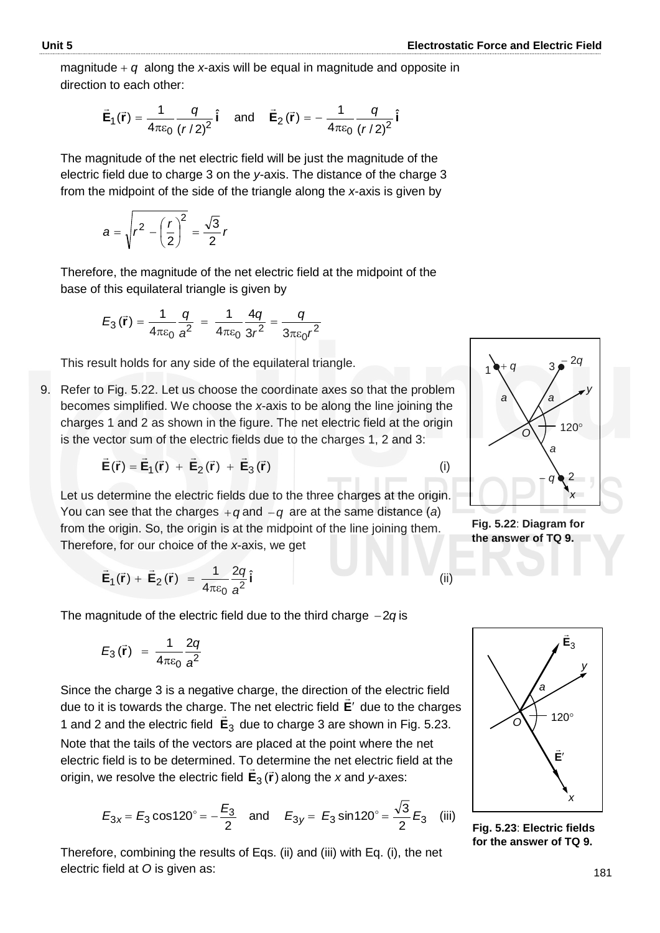magnitude  $+ q$  along the *x*-axis will be equal in magnitude and opposite in direction to each other:

$$
\vec{E}_1(\vec{r}) = \frac{1}{4\pi\epsilon_0} \frac{q}{(r/2)^2} \hat{i}
$$
 and  $\vec{E}_2(\vec{r}) = -\frac{1}{4\pi\epsilon_0} \frac{q}{(r/2)^2} \hat{i}$ 

The magnitude of the net electric field will be just the magnitude of the electric field due to charge 3 on the *y*-axis. The distance of the charge 3 from the midpoint of the side of the triangle along the *x*-axis is given by

$$
a = \sqrt{r^2 - \left(\frac{r}{2}\right)^2} = \frac{\sqrt{3}}{2}r
$$

Therefore, the magnitude of the net electric field at the midpoint of the base of this equilateral triangle is given by

$$
E_3(\vec{r}) = \frac{1}{4\pi\varepsilon_0} \frac{q}{a^2} = \frac{1}{4\pi\varepsilon_0} \frac{4q}{3r^2} = \frac{q}{3\pi\varepsilon_0 r^2}
$$

This result holds for any side of the equilateral triangle.

9. Refer to Fig. 5.22. Let us choose the coordinate axes so that the problem becomes simplified. We choose the *x*-axis to be along the line joining the charges 1 and 2 as shown in the figure. The net electric field at the origin is the vector sum of the electric fields due to the charges 1, 2 and 3:

$$
\vec{E}(\vec{r}) = \vec{E}_1(\vec{r}) + \vec{E}_2(\vec{r}) + \vec{E}_3(\vec{r})
$$
 (i)

Let us determine the electric fields due to the three charges at the origin. You can see that the charges  $+q$  and  $-q$  are at the same distance (*a*) from the origin. So, the origin is at the midpoint of the line joining them. Therefore, for our choice of the *x*-axis, we get

$$
\vec{\mathbf{E}}_1(\vec{r}) + \vec{\mathbf{E}}_2(\vec{r}) = \frac{1}{4\pi\varepsilon_0} \frac{2q}{a^2} \hat{\mathbf{i}} \tag{ii}
$$

The magnitude of the electric field due to the third charge  $-2q$  is

$$
E_3(\vec{r}) = \frac{1}{4\pi\varepsilon_0} \frac{2q}{a^2}
$$

Since the charge 3 is a negative charge, the direction of the electric field due to it is towards the charge. The net electric field **E**' due to the charges 1 and 2 and the electric field **E**3 due to charge 3 are shown in Fig. 5.23. Note that the tails of the vectors are placed at the point where the net electric field is to be determined. To determine the net electric field at the origin, we resolve the electric field  $\vec{E}_3(\vec{r})$  along the *x* and *y*-axes:

$$
E_{3x} = E_3 \cos 120^\circ = -\frac{E_3}{2}
$$
 and  $E_{3y} = E_3 \sin 120^\circ = \frac{\sqrt{3}}{2} E_3$  (iii)

Therefore, combining the results of Eqs. (ii) and (iii) with Eq. (i), the net electric field at *O* is given as:



**Fig. 5.22**: **Diagram for the answer of TQ 9.**



**Fig. 5.23**: **Electric fields for the answer of TQ 9.**